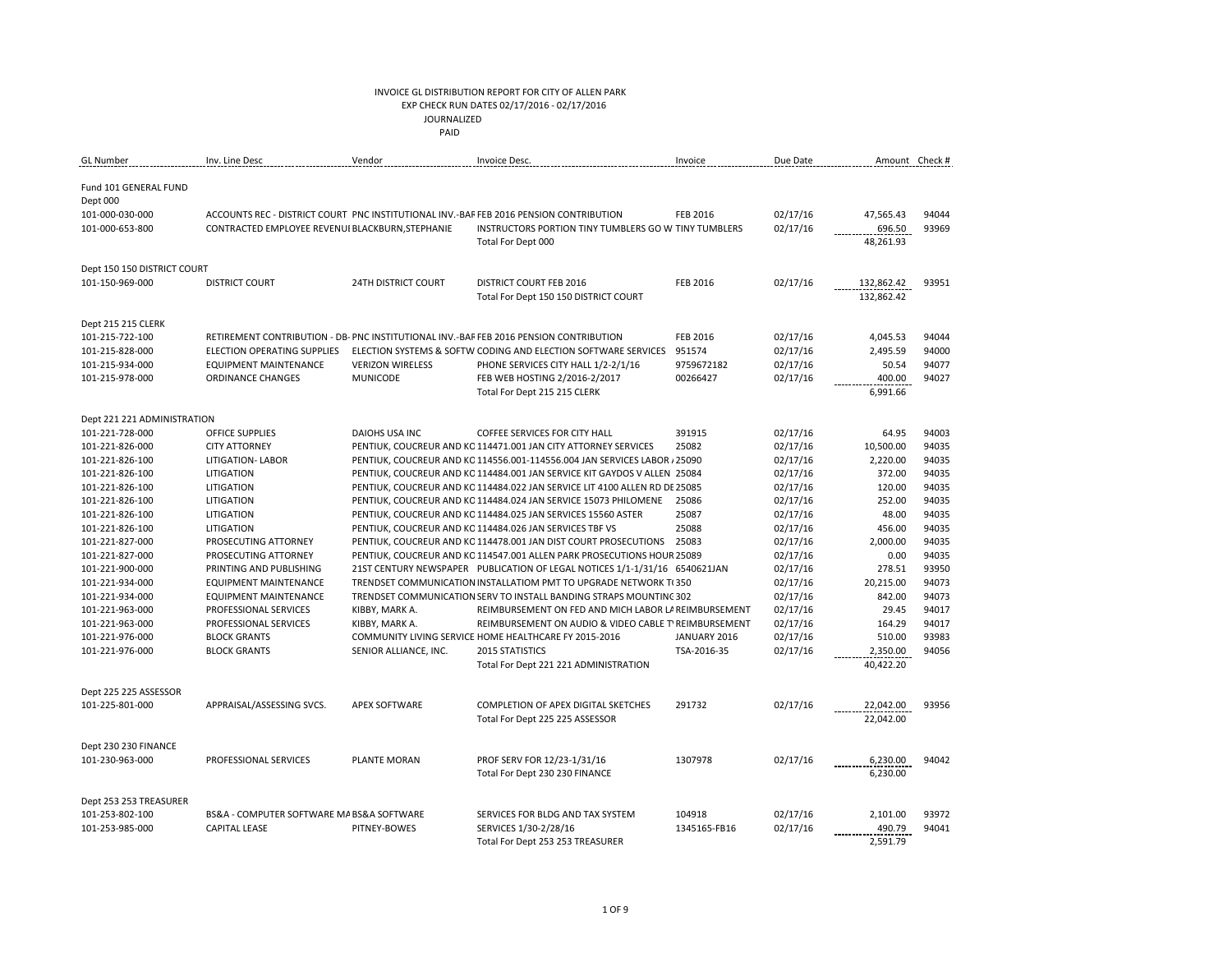### INVOICE GL DISTRIBUTION REPORT FOR CITY OF ALLEN PARK EXP CHECK RUN DATES 02/17/2016 - 02/17/2016

JOURNALIZED

**PAID PAID** 

| <b>GL</b> Number                      | Inv. Line Desc                                   | Vendor                     | Invoice Desc.                                                                          | Invoice         | Due Date |                       | Amount Check # |
|---------------------------------------|--------------------------------------------------|----------------------------|----------------------------------------------------------------------------------------|-----------------|----------|-----------------------|----------------|
| Fund 101 GENERAL FUND                 |                                                  |                            |                                                                                        |                 |          |                       |                |
| Dept 000                              |                                                  |                            |                                                                                        |                 |          |                       |                |
| 101-000-030-000                       |                                                  |                            | ACCOUNTS REC - DISTRICT COURT PNC INSTITUTIONAL INV.-BAF FEB 2016 PENSION CONTRIBUTION | <b>FEB 2016</b> | 02/17/16 | 47,565.43             | 94044          |
| 101-000-653-800                       | CONTRACTED EMPLOYEE REVENUI BLACKBURN, STEPHANIE |                            | INSTRUCTORS PORTION TINY TUMBLERS GO W TINY TUMBLERS                                   |                 | 02/17/16 | 696.50                | 93969          |
|                                       |                                                  |                            | Total For Dept 000                                                                     |                 |          | 48,261.93             |                |
| Dept 150 150 DISTRICT COURT           |                                                  |                            |                                                                                        |                 |          |                       |                |
| 101-150-969-000                       | <b>DISTRICT COURT</b>                            | <b>24TH DISTRICT COURT</b> | <b>DISTRICT COURT FEB 2016</b>                                                         | <b>FEB 2016</b> | 02/17/16 | 132,862.42            | 93951          |
|                                       |                                                  |                            | Total For Dept 150 150 DISTRICT COURT                                                  |                 |          | 132,862.42            |                |
|                                       |                                                  |                            |                                                                                        |                 |          |                       |                |
| Dept 215 215 CLERK<br>101-215-722-100 |                                                  |                            | RETIREMENT CONTRIBUTION - DB- PNC INSTITUTIONAL INV.-BAF FEB 2016 PENSION CONTRIBUTION | <b>FEB 2016</b> | 02/17/16 |                       | 94044          |
| 101-215-828-000                       | ELECTION OPERATING SUPPLIES                      |                            | ELECTION SYSTEMS & SOFTW CODING AND ELECTION SOFTWARE SERVICES                         | 951574          | 02/17/16 | 4,045.53<br>2,495.59  | 94000          |
| 101-215-934-000                       | <b>EQUIPMENT MAINTENANCE</b>                     | <b>VERIZON WIRELESS</b>    | PHONE SERVICES CITY HALL 1/2-2/1/16                                                    | 9759672182      | 02/17/16 | 50.54                 | 94077          |
| 101-215-978-000                       | <b>ORDINANCE CHANGES</b>                         | <b>MUNICODE</b>            | FEB WEB HOSTING 2/2016-2/2017                                                          | 00266427        | 02/17/16 | 400.00                | 94027          |
|                                       |                                                  |                            | Total For Dept 215 215 CLERK                                                           |                 |          | 6,991.66              |                |
|                                       |                                                  |                            |                                                                                        |                 |          |                       |                |
| Dept 221 221 ADMINISTRATION           |                                                  |                            |                                                                                        |                 |          |                       |                |
| 101-221-728-000                       | OFFICE SUPPLIES                                  | <b>DAIOHS USA INC</b>      | COFFEE SERVICES FOR CITY HALL                                                          | 391915          | 02/17/16 | 64.95                 | 94003          |
| 101-221-826-000                       | <b>CITY ATTORNEY</b>                             |                            | PENTIUK, COUCREUR AND KC 114471.001 JAN CITY ATTORNEY SERVICES                         | 25082           | 02/17/16 | 10,500.00             | 94035          |
| 101-221-826-100                       | <b>LITIGATION- LABOR</b>                         |                            | PENTIUK, COUCREUR AND KC 114556.001-114556.004 JAN SERVICES LABOR / 25090              |                 | 02/17/16 | 2,220.00              | 94035          |
| 101-221-826-100                       | LITIGATION                                       |                            | PENTIUK, COUCREUR AND KC 114484.001 JAN SERVICE KIT GAYDOS V ALLEN 25084               |                 | 02/17/16 | 372.00                | 94035          |
| 101-221-826-100                       | LITIGATION                                       |                            | PENTIUK, COUCREUR AND KC 114484.022 JAN SERVICE LIT 4100 ALLEN RD DE 25085             |                 | 02/17/16 | 120.00                | 94035          |
| 101-221-826-100                       | LITIGATION                                       |                            | PENTIUK, COUCREUR AND KC 114484.024 JAN SERVICE 15073 PHILOMENE                        | 25086           | 02/17/16 | 252.00                | 94035          |
| 101-221-826-100                       | LITIGATION                                       |                            | PENTIUK, COUCREUR AND KC 114484.025 JAN SERVICES 15560 ASTER                           | 25087           | 02/17/16 | 48.00                 | 94035          |
| 101-221-826-100                       | LITIGATION                                       |                            | PENTIUK, COUCREUR AND KC 114484.026 JAN SERVICES TBF VS                                | 25088           | 02/17/16 | 456.00                | 94035          |
| 101-221-827-000                       | PROSECUTING ATTORNEY                             |                            | PENTIUK, COUCREUR AND KC 114478.001 JAN DIST COURT PROSECUTIONS 25083                  |                 | 02/17/16 | 2,000.00              | 94035          |
| 101-221-827-000                       | PROSECUTING ATTORNEY                             |                            | PENTIUK, COUCREUR AND KC 114547.001 ALLEN PARK PROSECUTIONS HOUR 25089                 |                 | 02/17/16 | 0.00                  | 94035          |
| 101-221-900-000                       | PRINTING AND PUBLISHING                          |                            | 21ST CENTURY NEWSPAPER PUBLICATION OF LEGAL NOTICES 1/1-1/31/16 6540621JAN             |                 | 02/17/16 | 278.51                | 93950          |
| 101-221-934-000                       | <b>EQUIPMENT MAINTENANCE</b>                     |                            | TRENDSET COMMUNICATION INSTALLATIOM PMT TO UPGRADE NETWORK T(350)                      |                 | 02/17/16 | 20,215.00             | 94073          |
| 101-221-934-000                       | <b>EQUIPMENT MAINTENANCE</b>                     |                            | TRENDSET COMMUNICATION SERV TO INSTALL BANDING STRAPS MOUNTING 302                     |                 | 02/17/16 | 842.00                | 94073          |
| 101-221-963-000                       | PROFESSIONAL SERVICES                            | KIBBY, MARK A.             | REIMBURSEMENT ON FED AND MICH LABOR LA REIMBURSEMENT                                   |                 | 02/17/16 | 29.45                 | 94017          |
| 101-221-963-000                       | PROFESSIONAL SERVICES                            | KIBBY, MARK A.             | REIMBURSEMENT ON AUDIO & VIDEO CABLE T' REIMBURSEMENT                                  |                 | 02/17/16 | 164.29                | 94017          |
| 101-221-976-000<br>101-221-976-000    | <b>BLOCK GRANTS</b><br><b>BLOCK GRANTS</b>       |                            | COMMUNITY LIVING SERVICE HOME HEALTHCARE FY 2015-2016<br>2015 STATISTICS               | JANUARY 2016    | 02/17/16 | 510.00                | 93983<br>94056 |
|                                       |                                                  | SENIOR ALLIANCE, INC.      |                                                                                        | TSA-2016-35     | 02/17/16 | 2,350.00<br>40,422.20 |                |
|                                       |                                                  |                            | Total For Dept 221 221 ADMINISTRATION                                                  |                 |          |                       |                |
| Dept 225 225 ASSESSOR                 |                                                  |                            |                                                                                        |                 |          |                       |                |
| 101-225-801-000                       | APPRAISAL/ASSESSING SVCS.                        | <b>APEX SOFTWARE</b>       | COMPLETION OF APEX DIGITAL SKETCHES                                                    | 291732          | 02/17/16 | 22,042.00             | 93956          |
|                                       |                                                  |                            | Total For Dept 225 225 ASSESSOR                                                        |                 |          | 22,042.00             |                |
| Dept 230 230 FINANCE                  |                                                  |                            |                                                                                        |                 |          |                       |                |
| 101-230-963-000                       | PROFESSIONAL SERVICES                            | PLANTE MORAN               | PROF SERV FOR 12/23-1/31/16                                                            | 1307978         | 02/17/16 | 6,230.00              | 94042          |
|                                       |                                                  |                            | Total For Dept 230 230 FINANCE                                                         |                 |          | 6,230.00              |                |
|                                       |                                                  |                            |                                                                                        |                 |          |                       |                |
| Dept 253 253 TREASURER                |                                                  |                            |                                                                                        |                 |          |                       |                |
| 101-253-802-100                       | BS&A - COMPUTER SOFTWARE MA BS&A SOFTWARE        |                            | SERVICES FOR BLDG AND TAX SYSTEM                                                       | 104918          | 02/17/16 | 2,101.00              | 93972          |
| 101-253-985-000                       | <b>CAPITAL LEASE</b>                             | PITNEY-BOWES               | SERVICES 1/30-2/28/16                                                                  | 1345165-FB16    | 02/17/16 | 490.79                | 94041          |
|                                       |                                                  |                            | Total For Dept 253 253 TREASURER                                                       |                 |          | 2,591.79              |                |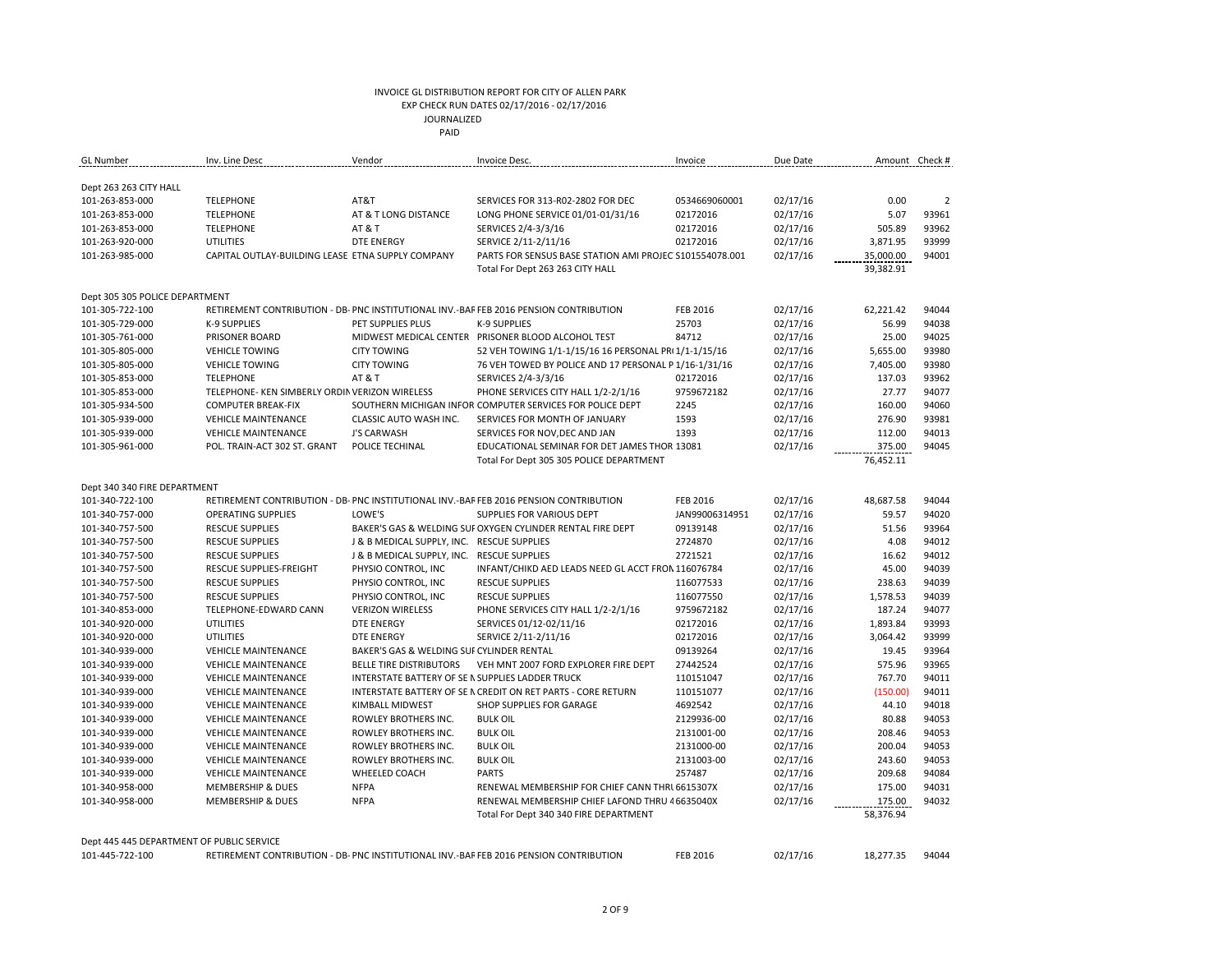| <b>GL</b> Number                          | Inv. Line Desc                                           | Vendor                                           | Invoice Desc.                                                                          | Invoice        | Due Date | Amount Check # |                |
|-------------------------------------------|----------------------------------------------------------|--------------------------------------------------|----------------------------------------------------------------------------------------|----------------|----------|----------------|----------------|
|                                           |                                                          |                                                  |                                                                                        |                |          |                |                |
| Dept 263 263 CITY HALL<br>101-263-853-000 | <b>TELEPHONE</b>                                         | AT&T                                             | SERVICES FOR 313-R02-2802 FOR DEC                                                      | 0534669060001  | 02/17/16 | 0.00           | $\overline{2}$ |
| 101-263-853-000                           | <b>TELEPHONE</b>                                         | AT & T LONG DISTANCE                             | LONG PHONE SERVICE 01/01-01/31/16                                                      | 02172016       | 02/17/16 | 5.07           | 93961          |
|                                           |                                                          |                                                  |                                                                                        |                |          |                |                |
| 101-263-853-000                           | <b>TELEPHONE</b>                                         | AT & T                                           | SERVICES 2/4-3/3/16                                                                    | 02172016       | 02/17/16 | 505.89         | 93962          |
| 101-263-920-000                           | UTILITIES                                                | <b>DTE ENERGY</b>                                | SERVICE 2/11-2/11/16                                                                   | 02172016       | 02/17/16 | 3,871.95       | 93999          |
| 101-263-985-000                           | CAPITAL OUTLAY-BUILDING LEASE ETNA SUPPLY COMPANY        |                                                  | PARTS FOR SENSUS BASE STATION AMI PROJEC S101554078.001                                |                | 02/17/16 | 35,000.00      | 94001          |
|                                           |                                                          |                                                  | Total For Dept 263 263 CITY HALL                                                       |                |          | 39,382.91      |                |
| Dept 305 305 POLICE DEPARTMENT            |                                                          |                                                  |                                                                                        |                |          |                |                |
| 101-305-722-100                           |                                                          |                                                  | RETIREMENT CONTRIBUTION - DB- PNC INSTITUTIONAL INV.-BAF FEB 2016 PENSION CONTRIBUTION | FEB 2016       | 02/17/16 | 62,221.42      | 94044          |
| 101-305-729-000                           | <b>K-9 SUPPLIES</b>                                      | PET SUPPLIES PLUS                                | <b>K-9 SUPPLIES</b>                                                                    | 25703          | 02/17/16 | 56.99          | 94038          |
| 101-305-761-000                           | PRISONER BOARD                                           |                                                  | MIDWEST MEDICAL CENTER PRISONER BLOOD ALCOHOL TEST                                     | 84712          | 02/17/16 | 25.00          | 94025          |
| 101-305-805-000                           | <b>VEHICLE TOWING</b>                                    | <b>CITY TOWING</b>                               | 52 VEH TOWING 1/1-1/15/16 16 PERSONAL PRI 1/1-1/15/16                                  |                | 02/17/16 | 5,655.00       | 93980          |
| 101-305-805-000                           | <b>VEHICLE TOWING</b>                                    | <b>CITY TOWING</b>                               | 76 VEH TOWED BY POLICE AND 17 PERSONAL P 1/16-1/31/16                                  |                | 02/17/16 | 7,405.00       | 93980          |
| 101-305-853-000                           | <b>TELEPHONE</b>                                         | <b>AT &amp; T</b>                                | SERVICES 2/4-3/3/16                                                                    | 02172016       | 02/17/16 | 137.03         | 93962          |
| 101-305-853-000                           | TELEPHONE- KEN SIMBERLY ORDIN VERIZON WIRELESS           |                                                  | PHONE SERVICES CITY HALL 1/2-2/1/16                                                    | 9759672182     | 02/17/16 | 27.77          | 94077          |
| 101-305-934-500                           | <b>COMPUTER BREAK-FIX</b>                                |                                                  | SOUTHERN MICHIGAN INFOR COMPUTER SERVICES FOR POLICE DEPT                              | 2245           | 02/17/16 | 160.00         | 94060          |
| 101-305-939-000                           | <b>VEHICLE MAINTENANCE</b>                               | CLASSIC AUTO WASH INC.                           | SERVICES FOR MONTH OF JANUARY                                                          | 1593           |          | 276.90         | 93981          |
|                                           |                                                          |                                                  |                                                                                        |                | 02/17/16 |                | 94013          |
| 101-305-939-000                           | <b>VEHICLE MAINTENANCE</b>                               | J'S CARWASH                                      | SERVICES FOR NOV, DEC AND JAN                                                          | 1393           | 02/17/16 | 112.00         |                |
| 101-305-961-000                           | POL. TRAIN-ACT 302 ST. GRANT                             | POLICE TECHINAL                                  | EDUCATIONAL SEMINAR FOR DET JAMES THOR 13081                                           |                | 02/17/16 | 375.00         | 94045          |
|                                           |                                                          |                                                  | Total For Dept 305 305 POLICE DEPARTMENT                                               |                |          | 76,452.11      |                |
| Dept 340 340 FIRE DEPARTMENT              |                                                          |                                                  |                                                                                        |                |          |                |                |
| 101-340-722-100                           |                                                          |                                                  | RETIREMENT CONTRIBUTION - DB- PNC INSTITUTIONAL INV.-BAF FEB 2016 PENSION CONTRIBUTION | FEB 2016       | 02/17/16 | 48.687.58      | 94044          |
| 101-340-757-000                           | <b>OPERATING SUPPLIES</b>                                | LOWE'S                                           | SUPPLIES FOR VARIOUS DEPT                                                              | JAN99006314951 | 02/17/16 | 59.57          | 94020          |
| 101-340-757-500                           | <b>RESCUE SUPPLIES</b>                                   |                                                  | BAKER'S GAS & WELDING SUI OXYGEN CYLINDER RENTAL FIRE DEPT                             | 09139148       | 02/17/16 | 51.56          | 93964          |
| 101-340-757-500                           | <b>RESCUE SUPPLIES</b>                                   | J & B MEDICAL SUPPLY, INC. RESCUE SUPPLIES       |                                                                                        | 2724870        | 02/17/16 | 4.08           | 94012          |
| 101-340-757-500                           | <b>RESCUE SUPPLIES</b>                                   | J & B MEDICAL SUPPLY, INC. RESCUE SUPPLIES       |                                                                                        | 2721521        | 02/17/16 | 16.62          | 94012          |
| 101-340-757-500                           | RESCUE SUPPLIES-FREIGHT                                  | PHYSIO CONTROL, INC                              | INFANT/CHIKD AED LEADS NEED GL ACCT FRON 116076784                                     |                | 02/17/16 | 45.00          | 94039          |
| 101-340-757-500                           | <b>RESCUE SUPPLIES</b>                                   | PHYSIO CONTROL, INC                              | <b>RESCUE SUPPLIES</b>                                                                 | 116077533      | 02/17/16 | 238.63         | 94039          |
| 101-340-757-500                           | <b>RESCUE SUPPLIES</b>                                   | PHYSIO CONTROL, INC                              | <b>RESCUE SUPPLIES</b>                                                                 | 116077550      | 02/17/16 | 1,578.53       | 94039          |
| 101-340-853-000                           | TELEPHONE-EDWARD CANN                                    | <b>VERIZON WIRELESS</b>                          | PHONE SERVICES CITY HALL 1/2-2/1/16                                                    | 9759672182     | 02/17/16 | 187.24         | 94077          |
| 101-340-920-000                           | <b>UTILITIES</b>                                         | <b>DTE ENERGY</b>                                | SERVICES 01/12-02/11/16                                                                | 02172016       | 02/17/16 | 1,893.84       | 93993          |
| 101-340-920-000                           | UTILITIES                                                | <b>DTE ENERGY</b>                                | SERVICE 2/11-2/11/16                                                                   | 02172016       | 02/17/16 | 3,064.42       | 93999          |
| 101-340-939-000                           | <b>VEHICLE MAINTENANCE</b>                               | BAKER'S GAS & WELDING SUI CYLINDER RENTAL        |                                                                                        | 09139264       | 02/17/16 | 19.45          | 93964          |
| 101-340-939-000                           | <b>VEHICLE MAINTENANCE</b>                               | <b>BELLE TIRE DISTRIBUTORS</b>                   | VEH MNT 2007 FORD EXPLORER FIRE DEPT                                                   | 27442524       | 02/17/16 | 575.96         | 93965          |
| 101-340-939-000                           | <b>VEHICLE MAINTENANCE</b>                               | INTERSTATE BATTERY OF SE N SUPPLIES LADDER TRUCK |                                                                                        | 110151047      | 02/17/16 | 767.70         | 94011          |
| 101-340-939-000                           | <b>VEHICLE MAINTENANCE</b>                               |                                                  | INTERSTATE BATTERY OF SE N CREDIT ON RET PARTS - CORE RETURN                           | 110151077      | 02/17/16 | (150.00)       | 94011          |
| 101-340-939-000                           |                                                          | <b>KIMBALL MIDWEST</b>                           | SHOP SUPPLIES FOR GARAGE                                                               | 4692542        | 02/17/16 | 44.10          | 94018          |
| 101-340-939-000                           | <b>VEHICLE MAINTENANCE</b><br><b>VEHICLE MAINTENANCE</b> | ROWLEY BROTHERS INC.                             | <b>BULK OIL</b>                                                                        | 2129936-00     |          | 80.88          | 94053          |
|                                           |                                                          |                                                  |                                                                                        |                | 02/17/16 |                |                |
| 101-340-939-000                           | <b>VEHICLE MAINTENANCE</b>                               | ROWLEY BROTHERS INC.                             | <b>BULK OIL</b>                                                                        | 2131001-00     | 02/17/16 | 208.46         | 94053          |
| 101-340-939-000                           | <b>VEHICLE MAINTENANCE</b>                               | <b>ROWLEY BROTHERS INC.</b>                      | <b>BULK OIL</b>                                                                        | 2131000-00     | 02/17/16 | 200.04         | 94053          |
| 101-340-939-000                           | <b>VEHICLE MAINTENANCE</b>                               | ROWLEY BROTHERS INC.                             | <b>BULK OIL</b>                                                                        | 2131003-00     | 02/17/16 | 243.60         | 94053          |
| 101-340-939-000                           | <b>VEHICLE MAINTENANCE</b>                               | WHEELED COACH                                    | <b>PARTS</b>                                                                           | 257487         | 02/17/16 | 209.68         | 94084          |
| 101-340-958-000                           | <b>MEMBERSHIP &amp; DUES</b>                             | <b>NFPA</b>                                      | RENEWAL MEMBERSHIP FOR CHIEF CANN THRI 6615307X                                        |                | 02/17/16 | 175.00         | 94031          |
| 101-340-958-000                           | <b>MEMBERSHIP &amp; DUES</b>                             | <b>NFPA</b>                                      | RENEWAL MEMBERSHIP CHIEF LAFOND THRU 4 6635040X                                        |                | 02/17/16 | 175.00         | 94032          |
|                                           |                                                          |                                                  | Total For Dept 340 340 FIRE DEPARTMENT                                                 |                |          | 58,376.94      |                |
|                                           |                                                          |                                                  |                                                                                        |                |          |                |                |
| Dept 445 445 DEPARTMENT OF PUBLIC SERVICE |                                                          |                                                  |                                                                                        | FFB 2016       |          |                | 94044          |
| 101-445-722-100                           |                                                          |                                                  | RETIREMENT CONTRIBUTION - DB- PNC INSTITUTIONAL INV.-BAF FEB 2016 PENSION CONTRIBUTION |                | 02/17/16 | 18.277.35      |                |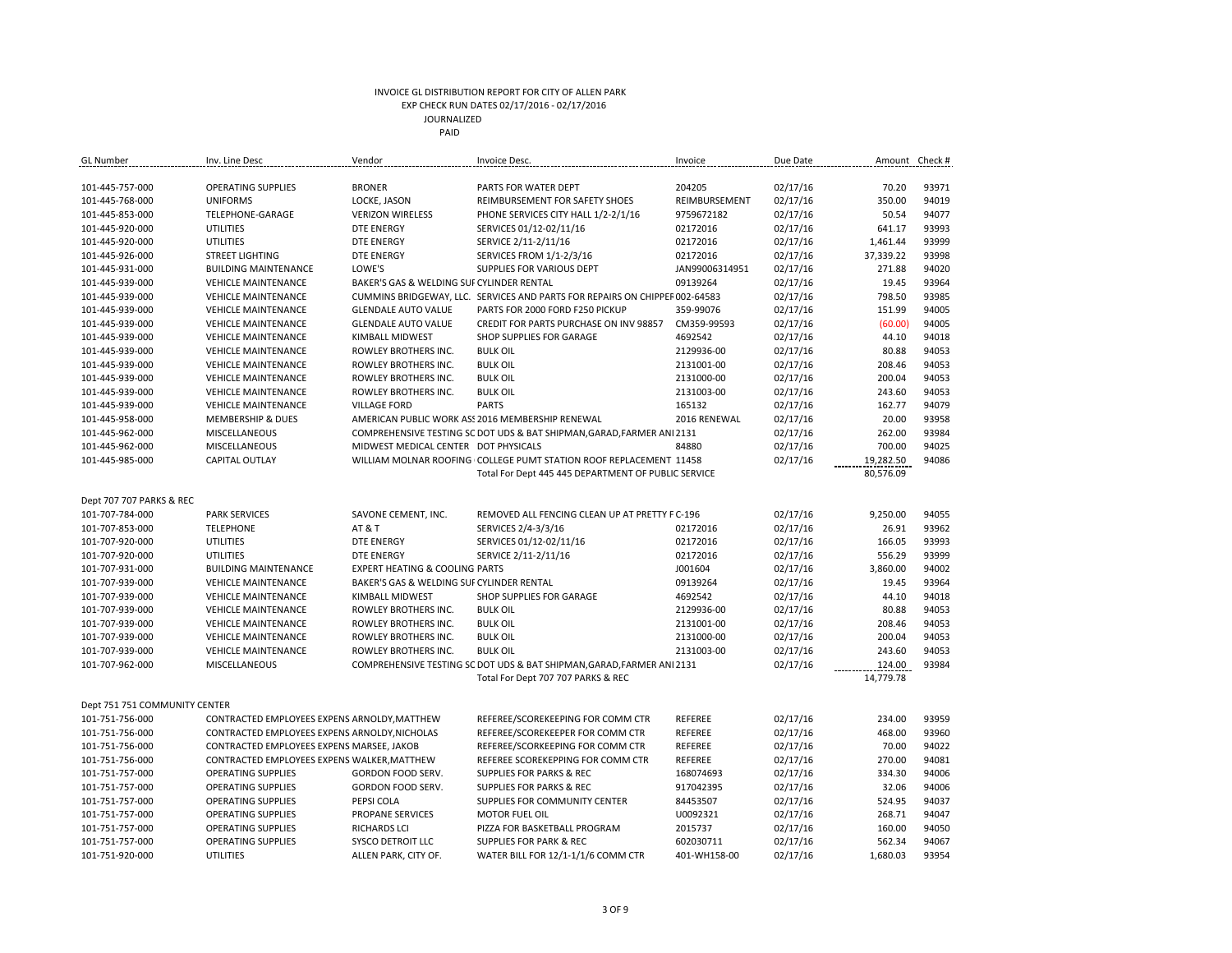| GL Number                     | Inv. Line Desc                                | Vendor                                    | Invoice Desc.                                                               | Invoice        | Due Date | Amount    | Check # |
|-------------------------------|-----------------------------------------------|-------------------------------------------|-----------------------------------------------------------------------------|----------------|----------|-----------|---------|
|                               |                                               |                                           |                                                                             |                |          |           |         |
| 101-445-757-000               | <b>OPERATING SUPPLIES</b>                     | <b>BRONER</b>                             | PARTS FOR WATER DEPT                                                        | 204205         | 02/17/16 | 70.20     | 93971   |
| 101-445-768-000               | <b>UNIFORMS</b>                               | LOCKE, JASON                              | REIMBURSEMENT FOR SAFETY SHOES                                              | REIMBURSEMENT  | 02/17/16 | 350.00    | 94019   |
| 101-445-853-000               | TELEPHONE-GARAGE                              | <b>VERIZON WIRELESS</b>                   | PHONE SERVICES CITY HALL 1/2-2/1/16                                         | 9759672182     | 02/17/16 | 50.54     | 94077   |
| 101-445-920-000               | <b>UTILITIES</b>                              | <b>DTE ENERGY</b>                         | SERVICES 01/12-02/11/16                                                     | 02172016       | 02/17/16 | 641.17    | 93993   |
| 101-445-920-000               | <b>UTILITIES</b>                              | <b>DTE ENERGY</b>                         | SERVICE 2/11-2/11/16                                                        | 02172016       | 02/17/16 | 1,461.44  | 93999   |
| 101-445-926-000               | <b>STREET LIGHTING</b>                        | <b>DTE ENERGY</b>                         | SERVICES FROM 1/1-2/3/16                                                    | 02172016       | 02/17/16 | 37,339.22 | 93998   |
| 101-445-931-000               | <b>BUILDING MAINTENANCE</b>                   | LOWE'S                                    | SUPPLIES FOR VARIOUS DEPT                                                   | JAN99006314951 | 02/17/16 | 271.88    | 94020   |
| 101-445-939-000               | <b>VEHICLE MAINTENANCE</b>                    | BAKER'S GAS & WELDING SUF CYLINDER RENTAL |                                                                             | 09139264       | 02/17/16 | 19.45     | 93964   |
| 101-445-939-000               | <b>VEHICLE MAINTENANCE</b>                    |                                           | CUMMINS BRIDGEWAY, LLC. SERVICES AND PARTS FOR REPAIRS ON CHIPPEF 002-64583 |                | 02/17/16 | 798.50    | 93985   |
| 101-445-939-000               | <b>VEHICLE MAINTENANCE</b>                    | <b>GLENDALE AUTO VALUE</b>                | PARTS FOR 2000 FORD F250 PICKUP                                             | 359-99076      | 02/17/16 | 151.99    | 94005   |
| 101-445-939-000               | <b>VEHICLE MAINTENANCE</b>                    | <b>GLENDALE AUTO VALUE</b>                | CREDIT FOR PARTS PURCHASE ON INV 98857                                      | CM359-99593    | 02/17/16 | (60.00)   | 94005   |
| 101-445-939-000               | <b>VEHICLE MAINTENANCE</b>                    | <b>KIMBALL MIDWEST</b>                    | SHOP SUPPLIES FOR GARAGE                                                    | 4692542        | 02/17/16 | 44.10     | 94018   |
| 101-445-939-000               | <b>VEHICLE MAINTENANCE</b>                    | ROWLEY BROTHERS INC.                      | <b>BULK OIL</b>                                                             | 2129936-00     | 02/17/16 | 80.88     | 94053   |
| 101-445-939-000               | <b>VEHICLE MAINTENANCE</b>                    | ROWLEY BROTHERS INC.                      | <b>BULK OIL</b>                                                             | 2131001-00     | 02/17/16 | 208.46    | 94053   |
| 101-445-939-000               | <b>VEHICLE MAINTENANCE</b>                    | ROWLEY BROTHERS INC.                      | <b>BULK OIL</b>                                                             | 2131000-00     | 02/17/16 | 200.04    | 94053   |
| 101-445-939-000               | <b>VEHICLE MAINTENANCE</b>                    | ROWLEY BROTHERS INC.                      | <b>BULK OIL</b>                                                             | 2131003-00     | 02/17/16 | 243.60    | 94053   |
| 101-445-939-000               | <b>VEHICLE MAINTENANCE</b>                    | <b>VILLAGE FORD</b>                       | <b>PARTS</b>                                                                | 165132         | 02/17/16 | 162.77    | 94079   |
| 101-445-958-000               | <b>MEMBERSHIP &amp; DUES</b>                  |                                           | AMERICAN PUBLIC WORK AS! 2016 MEMBERSHIP RENEWAL                            | 2016 RENEWAL   | 02/17/16 | 20.00     | 93958   |
| 101-445-962-000               | MISCELLANEOUS                                 |                                           | COMPREHENSIVE TESTING SC DOT UDS & BAT SHIPMAN, GARAD, FARMER ANI 2131      |                | 02/17/16 | 262.00    | 93984   |
| 101-445-962-000               | MISCELLANEOUS                                 | MIDWEST MEDICAL CENTER DOT PHYSICALS      |                                                                             | 84880          | 02/17/16 | 700.00    | 94025   |
| 101-445-985-000               | <b>CAPITAL OUTLAY</b>                         |                                           | WILLIAM MOLNAR ROOFING COLLEGE PUMT STATION ROOF REPLACEMENT 11458          |                | 02/17/16 | 19,282.50 | 94086   |
|                               |                                               |                                           | Total For Dept 445 445 DEPARTMENT OF PUBLIC SERVICE                         |                |          | 80,576.09 |         |
|                               |                                               |                                           |                                                                             |                |          |           |         |
| Dept 707 707 PARKS & REC      |                                               |                                           |                                                                             |                |          |           |         |
| 101-707-784-000               | <b>PARK SERVICES</b>                          | SAVONE CEMENT, INC.                       | REMOVED ALL FENCING CLEAN UP AT PRETTY F C-196                              |                | 02/17/16 | 9,250.00  | 94055   |
| 101-707-853-000               | <b>TELEPHONE</b>                              | AT & T                                    | SERVICES 2/4-3/3/16                                                         | 02172016       | 02/17/16 | 26.91     | 93962   |
| 101-707-920-000               | <b>UTILITIES</b>                              | <b>DTE ENERGY</b>                         | SERVICES 01/12-02/11/16                                                     | 02172016       | 02/17/16 | 166.05    | 93993   |
| 101-707-920-000               | <b>UTILITIES</b>                              | <b>DTE ENERGY</b>                         | SERVICE 2/11-2/11/16                                                        | 02172016       | 02/17/16 | 556.29    | 93999   |
| 101-707-931-000               | <b>BUILDING MAINTENANCE</b>                   | <b>EXPERT HEATING &amp; COOLING PARTS</b> |                                                                             | J001604        | 02/17/16 | 3,860.00  | 94002   |
| 101-707-939-000               | <b>VEHICLE MAINTENANCE</b>                    | BAKER'S GAS & WELDING SUF CYLINDER RENTAL |                                                                             | 09139264       | 02/17/16 | 19.45     | 93964   |
| 101-707-939-000               | <b>VEHICLE MAINTENANCE</b>                    | KIMBALL MIDWEST                           | SHOP SUPPLIES FOR GARAGE                                                    | 4692542        | 02/17/16 | 44.10     | 94018   |
| 101-707-939-000               | <b>VEHICLE MAINTENANCE</b>                    | ROWLEY BROTHERS INC.                      | <b>BULK OIL</b>                                                             | 2129936-00     | 02/17/16 | 80.88     | 94053   |
| 101-707-939-000               | <b>VEHICLE MAINTENANCE</b>                    | ROWLEY BROTHERS INC.                      | <b>BULK OIL</b>                                                             | 2131001-00     | 02/17/16 | 208.46    | 94053   |
| 101-707-939-000               | <b>VEHICLE MAINTENANCE</b>                    | ROWLEY BROTHERS INC.                      | <b>BULK OIL</b>                                                             | 2131000-00     | 02/17/16 | 200.04    | 94053   |
| 101-707-939-000               | <b>VEHICLE MAINTENANCE</b>                    | ROWLEY BROTHERS INC.                      | <b>BULK OIL</b>                                                             | 2131003-00     | 02/17/16 | 243.60    | 94053   |
| 101-707-962-000               | MISCELLANEOUS                                 |                                           | COMPREHENSIVE TESTING SC DOT UDS & BAT SHIPMAN, GARAD, FARMER ANI 2131      |                | 02/17/16 | 124.00    | 93984   |
|                               |                                               |                                           | Total For Dept 707 707 PARKS & REC                                          |                |          | 14,779.78 |         |
|                               |                                               |                                           |                                                                             |                |          |           |         |
| Dept 751 751 COMMUNITY CENTER |                                               |                                           |                                                                             |                |          |           |         |
| 101-751-756-000               | CONTRACTED EMPLOYEES EXPENS ARNOLDY, MATTHEW  |                                           | REFEREE/SCOREKEEPING FOR COMM CTR                                           | REFEREE        | 02/17/16 | 234.00    | 93959   |
| 101-751-756-000               | CONTRACTED EMPLOYEES EXPENS ARNOLDY, NICHOLAS |                                           | REFEREE/SCOREKEEPER FOR COMM CTR                                            | REFEREE        | 02/17/16 | 468.00    | 93960   |
| 101-751-756-000               | CONTRACTED EMPLOYEES EXPENS MARSEE, JAKOB     |                                           | REFEREE/SCORKEEPING FOR COMM CTR                                            | REFEREE        | 02/17/16 | 70.00     | 94022   |
| 101-751-756-000               | CONTRACTED EMPLOYEES EXPENS WALKER, MATTHEW   |                                           | REFEREE SCOREKEPPING FOR COMM CTR                                           | REFEREE        | 02/17/16 | 270.00    | 94081   |
| 101-751-757-000               | <b>OPERATING SUPPLIES</b>                     | <b>GORDON FOOD SERV.</b>                  | SUPPLIES FOR PARKS & REC                                                    | 168074693      | 02/17/16 | 334.30    | 94006   |
| 101-751-757-000               | <b>OPERATING SUPPLIES</b>                     | GORDON FOOD SERV.                         | <b>SUPPLIES FOR PARKS &amp; REC</b>                                         | 917042395      | 02/17/16 | 32.06     | 94006   |
| 101-751-757-000               | <b>OPERATING SUPPLIES</b>                     | PEPSI COLA                                | SUPPLIES FOR COMMUNITY CENTER                                               | 84453507       | 02/17/16 | 524.95    | 94037   |
| 101-751-757-000               | <b>OPERATING SUPPLIES</b>                     | PROPANE SERVICES                          | <b>MOTOR FUEL OIL</b>                                                       | U0092321       | 02/17/16 | 268.71    | 94047   |
| 101-751-757-000               | <b>OPERATING SUPPLIES</b>                     | <b>RICHARDS LCI</b>                       | PIZZA FOR BASKETBALL PROGRAM                                                | 2015737        | 02/17/16 | 160.00    | 94050   |
| 101-751-757-000               | <b>OPERATING SUPPLIES</b>                     | <b>SYSCO DETROIT LLC</b>                  | <b>SUPPLIES FOR PARK &amp; REC</b>                                          | 602030711      | 02/17/16 | 562.34    | 94067   |
| 101-751-920-000               | <b>UTILITIES</b>                              | ALLEN PARK, CITY OF.                      | WATER BILL FOR 12/1-1/1/6 COMM CTR                                          | 401-WH158-00   | 02/17/16 | 1.680.03  | 93954   |
|                               |                                               |                                           |                                                                             |                |          |           |         |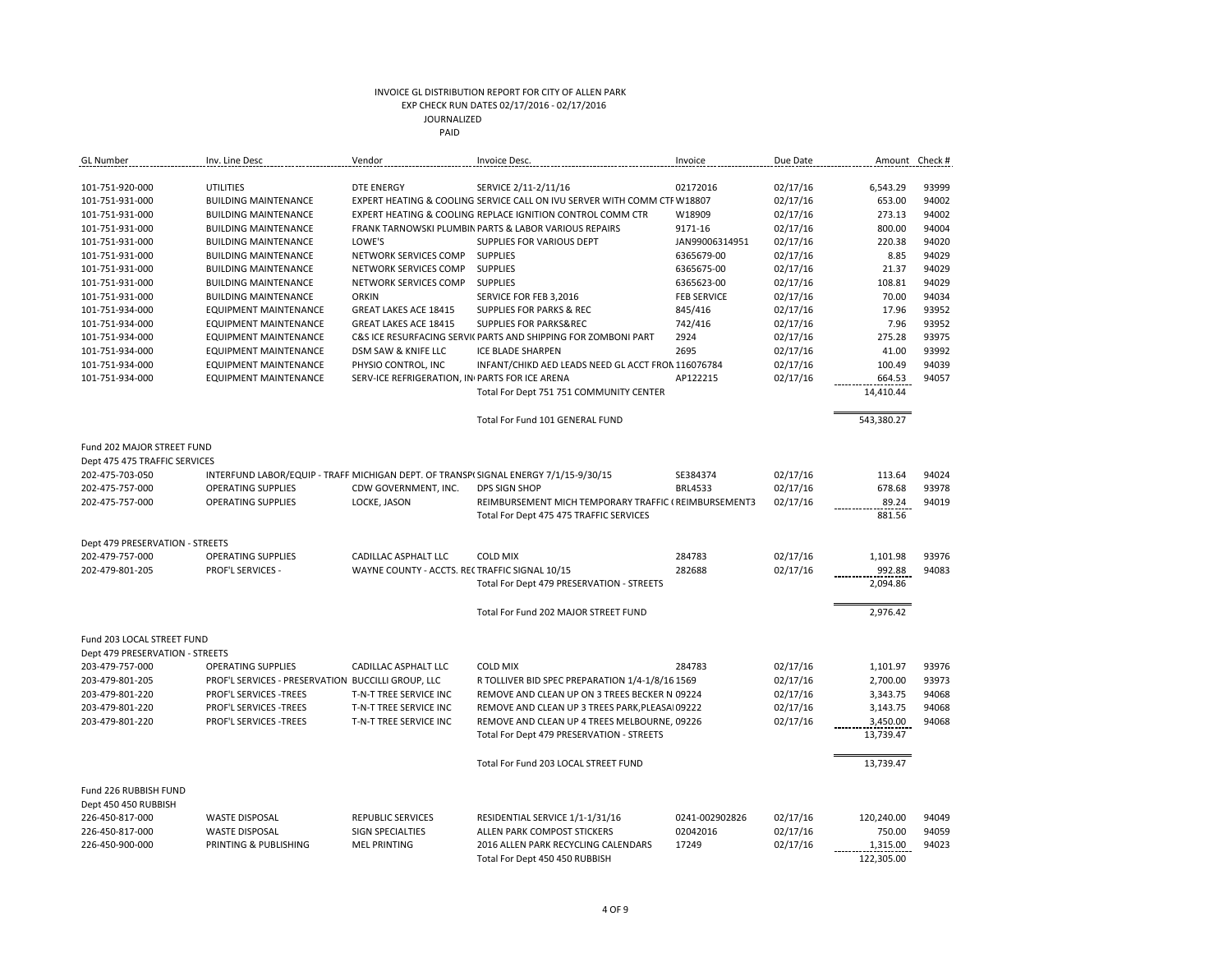| <b>GL</b> Number                | Inv. Line Desc                                                                       | Vendor                                         | Invoice Desc.                                                            | Invoice            | Due Date |            | Amount Check # |
|---------------------------------|--------------------------------------------------------------------------------------|------------------------------------------------|--------------------------------------------------------------------------|--------------------|----------|------------|----------------|
|                                 |                                                                                      |                                                |                                                                          |                    |          |            |                |
| 101-751-920-000                 | <b>UTILITIES</b>                                                                     | <b>DTE ENERGY</b>                              | SERVICE 2/11-2/11/16                                                     | 02172016           | 02/17/16 | 6,543.29   | 93999          |
| 101-751-931-000                 | <b>BUILDING MAINTENANCE</b>                                                          |                                                | EXPERT HEATING & COOLING SERVICE CALL ON IVU SERVER WITH COMM CTF W18807 |                    | 02/17/16 | 653.00     | 94002          |
| 101-751-931-000                 | <b>BUILDING MAINTENANCE</b>                                                          |                                                | EXPERT HEATING & COOLING REPLACE IGNITION CONTROL COMM CTR               | W18909             | 02/17/16 | 273.13     | 94002          |
| 101-751-931-000                 | <b>BUILDING MAINTENANCE</b>                                                          |                                                | FRANK TARNOWSKI PLUMBIN PARTS & LABOR VARIOUS REPAIRS                    | 9171-16            | 02/17/16 | 800.00     | 94004          |
| 101-751-931-000                 | <b>BUILDING MAINTENANCE</b>                                                          | LOWE'S                                         | SUPPLIES FOR VARIOUS DEPT                                                | JAN99006314951     | 02/17/16 | 220.38     | 94020          |
| 101-751-931-000                 | <b>BUILDING MAINTENANCE</b>                                                          | NETWORK SERVICES COMP                          | <b>SUPPLIES</b>                                                          | 6365679-00         | 02/17/16 | 8.85       | 94029          |
| 101-751-931-000                 | <b>BUILDING MAINTENANCE</b>                                                          | NETWORK SERVICES COMP                          | <b>SUPPLIES</b>                                                          | 6365675-00         | 02/17/16 | 21.37      | 94029          |
| 101-751-931-000                 | <b>BUILDING MAINTENANCE</b>                                                          | NETWORK SERVICES COMP                          | <b>SUPPLIES</b>                                                          | 6365623-00         | 02/17/16 | 108.81     | 94029          |
| 101-751-931-000                 | <b>BUILDING MAINTENANCE</b>                                                          | <b>ORKIN</b>                                   | SERVICE FOR FEB 3,2016                                                   | <b>FEB SERVICE</b> | 02/17/16 | 70.00      | 94034          |
| 101-751-934-000                 | <b>EQUIPMENT MAINTENANCE</b>                                                         | GREAT LAKES ACE 18415                          | SUPPLIES FOR PARKS & REC                                                 | 845/416            | 02/17/16 | 17.96      | 93952          |
| 101-751-934-000                 | <b>EQUIPMENT MAINTENANCE</b>                                                         | GREAT LAKES ACE 18415                          | <b>SUPPLIES FOR PARKS&amp;REC</b>                                        | 742/416            | 02/17/16 | 7.96       | 93952          |
| 101-751-934-000                 | <b>EQUIPMENT MAINTENANCE</b>                                                         |                                                | C&S ICE RESURFACING SERVI( PARTS AND SHIPPING FOR ZOMBONI PART           | 2924               | 02/17/16 | 275.28     | 93975          |
| 101-751-934-000                 | <b>EQUIPMENT MAINTENANCE</b>                                                         | DSM SAW & KNIFE LLC                            | ICE BLADE SHARPEN                                                        | 2695               | 02/17/16 | 41.00      | 93992          |
| 101-751-934-000                 | <b>EQUIPMENT MAINTENANCE</b>                                                         | PHYSIO CONTROL, INC                            | INFANT/CHIKD AED LEADS NEED GL ACCT FRON 116076784                       |                    | 02/17/16 | 100.49     | 94039          |
| 101-751-934-000                 | EQUIPMENT MAINTENANCE                                                                | SERV-ICE REFRIGERATION, IN PARTS FOR ICE ARENA |                                                                          | AP122215           | 02/17/16 | 664.53     | 94057          |
|                                 |                                                                                      |                                                | Total For Dept 751 751 COMMUNITY CENTER                                  |                    |          | 14,410.44  |                |
|                                 |                                                                                      |                                                | Total For Fund 101 GENERAL FUND                                          |                    |          | 543,380.27 |                |
|                                 |                                                                                      |                                                |                                                                          |                    |          |            |                |
| Fund 202 MAJOR STREET FUND      |                                                                                      |                                                |                                                                          |                    |          |            |                |
| Dept 475 475 TRAFFIC SERVICES   |                                                                                      |                                                |                                                                          |                    |          |            |                |
| 202-475-703-050                 | INTERFUND LABOR/EQUIP - TRAFF MICHIGAN DEPT. OF TRANSPI SIGNAL ENERGY 7/1/15-9/30/15 |                                                |                                                                          | SE384374           | 02/17/16 | 113.64     | 94024          |
| 202-475-757-000                 | <b>OPERATING SUPPLIES</b>                                                            | CDW GOVERNMENT, INC.                           | <b>DPS SIGN SHOP</b>                                                     | <b>BRL4533</b>     | 02/17/16 | 678.68     | 93978          |
| 202-475-757-000                 | <b>OPERATING SUPPLIES</b>                                                            | LOCKE, JASON                                   | REIMBURSEMENT MICH TEMPORARY TRAFFIC (REIMBURSEMENT3                     |                    | 02/17/16 | 89.24      | 94019          |
|                                 |                                                                                      |                                                | Total For Dept 475 475 TRAFFIC SERVICES                                  |                    |          | 881.56     |                |
| Dept 479 PRESERVATION - STREETS |                                                                                      |                                                |                                                                          |                    |          |            |                |
| 202-479-757-000                 | <b>OPERATING SUPPLIES</b>                                                            | CADILLAC ASPHALT LLC                           | <b>COLD MIX</b>                                                          | 284783             | 02/17/16 | 1,101.98   | 93976          |
| 202-479-801-205                 | PROF'L SERVICES -                                                                    | WAYNE COUNTY - ACCTS. RECTRAFFIC SIGNAL 10/15  |                                                                          | 282688             | 02/17/16 | 992.88     | 94083          |
|                                 |                                                                                      |                                                | Total For Dept 479 PRESERVATION - STREETS                                |                    |          | 2,094.86   |                |
|                                 |                                                                                      |                                                |                                                                          |                    |          |            |                |
|                                 |                                                                                      |                                                | Total For Fund 202 MAJOR STREET FUND                                     |                    |          | 2,976.42   |                |
| Fund 203 LOCAL STREET FUND      |                                                                                      |                                                |                                                                          |                    |          |            |                |
| Dept 479 PRESERVATION - STREETS |                                                                                      |                                                |                                                                          |                    |          |            |                |
| 203-479-757-000                 | <b>OPERATING SUPPLIES</b>                                                            | CADILLAC ASPHALT LLC                           | <b>COLD MIX</b>                                                          | 284783             | 02/17/16 | 1,101.97   | 93976          |
| 203-479-801-205                 | PROF'L SERVICES - PRESERVATION BUCCILLI GROUP, LLC                                   |                                                | R TOLLIVER BID SPEC PREPARATION 1/4-1/8/16 1569                          |                    | 02/17/16 | 2,700.00   | 93973          |
| 203-479-801-220                 | PROF'L SERVICES -TREES                                                               | T-N-T TREE SERVICE INC                         | REMOVE AND CLEAN UP ON 3 TREES BECKER N 09224                            |                    | 02/17/16 | 3,343.75   | 94068          |
| 203-479-801-220                 | PROF'L SERVICES - TREES                                                              | T-N-T TREE SERVICE INC                         | REMOVE AND CLEAN UP 3 TREES PARK, PLEASAI 09222                          |                    | 02/17/16 | 3,143.75   | 94068          |
| 203-479-801-220                 | <b>PROF'L SERVICES -TREES</b>                                                        | T-N-T TREE SERVICE INC                         | REMOVE AND CLEAN UP 4 TREES MELBOURNE, 09226                             |                    | 02/17/16 | 3,450.00   | 94068          |
|                                 |                                                                                      |                                                | Total For Dept 479 PRESERVATION - STREETS                                |                    |          | 13,739.47  |                |
|                                 |                                                                                      |                                                | Total For Fund 203 LOCAL STREET FUND                                     |                    |          | 13,739.47  |                |
| Fund 226 RUBBISH FUND           |                                                                                      |                                                |                                                                          |                    |          |            |                |
| Dept 450 450 RUBBISH            |                                                                                      |                                                |                                                                          |                    |          |            |                |
| 226-450-817-000                 | <b>WASTE DISPOSAL</b>                                                                | <b>REPUBLIC SERVICES</b>                       | RESIDENTIAL SERVICE 1/1-1/31/16                                          | 0241-002902826     | 02/17/16 | 120,240.00 | 94049          |
| 226-450-817-000                 | <b>WASTE DISPOSAL</b>                                                                | SIGN SPECIALTIES                               | ALLEN PARK COMPOST STICKERS                                              | 02042016           | 02/17/16 | 750.00     | 94059          |
| 226-450-900-000                 | PRINTING & PUBLISHING                                                                | <b>MEL PRINTING</b>                            | 2016 ALLEN PARK RECYCLING CALENDARS                                      | 17249              | 02/17/16 | 1,315.00   | 94023          |
|                                 |                                                                                      |                                                | Total For Dept 450 450 RUBBISH                                           |                    |          | 122,305.00 |                |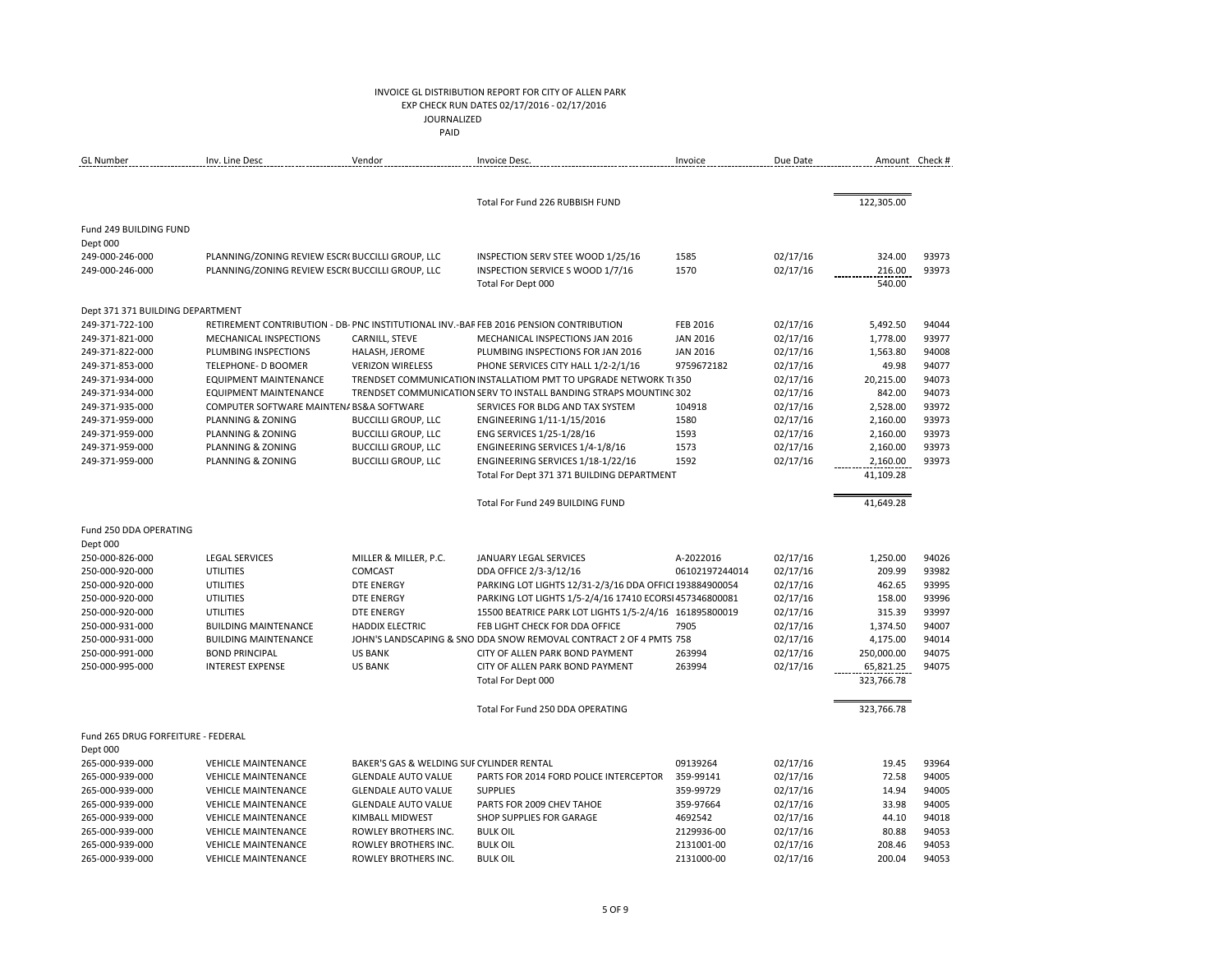# INVOICE GL DISTRIBUTION REPORT FOR CITY OF ALLEN PARK EXP CHECK RUN DATES 02/17/2016 - 02/17/2016

 JOURNALIZED **PAID PAID** 

| <b>GL</b> Number                   | Inv. Line Desc                                   | Vendor                                    | Invoice Desc.                                                                          | Invoice         | Due Date | Amount Check # |       |
|------------------------------------|--------------------------------------------------|-------------------------------------------|----------------------------------------------------------------------------------------|-----------------|----------|----------------|-------|
|                                    |                                                  |                                           |                                                                                        |                 |          |                |       |
|                                    |                                                  |                                           | Total For Fund 226 RUBBISH FUND                                                        |                 |          | 122,305.00     |       |
| Fund 249 BUILDING FUND             |                                                  |                                           |                                                                                        |                 |          |                |       |
| Dept 000                           |                                                  |                                           |                                                                                        |                 |          |                |       |
| 249-000-246-000                    | PLANNING/ZONING REVIEW ESCR( BUCCILLI GROUP, LLC |                                           | INSPECTION SERV STEE WOOD 1/25/16                                                      | 1585            | 02/17/16 | 324.00         | 93973 |
| 249-000-246-000                    | PLANNING/ZONING REVIEW ESCR( BUCCILLI GROUP, LLC |                                           | INSPECTION SERVICE S WOOD 1/7/16                                                       | 1570            | 02/17/16 | 216.00         | 93973 |
|                                    |                                                  |                                           | Total For Dept 000                                                                     |                 |          | 540.00         |       |
| Dept 371 371 BUILDING DEPARTMENT   |                                                  |                                           |                                                                                        |                 |          |                |       |
| 249-371-722-100                    |                                                  |                                           | RETIREMENT CONTRIBUTION - DB- PNC INSTITUTIONAL INV.-BAF FEB 2016 PENSION CONTRIBUTION | <b>FEB 2016</b> | 02/17/16 | 5,492.50       | 94044 |
| 249-371-821-000                    | MECHANICAL INSPECTIONS                           | CARNILL, STEVE                            | MECHANICAL INSPECTIONS JAN 2016                                                        | <b>JAN 2016</b> | 02/17/16 | 1,778.00       | 93977 |
| 249-371-822-000                    | PLUMBING INSPECTIONS                             | HALASH, JEROME                            | PLUMBING INSPECTIONS FOR JAN 2016                                                      | <b>JAN 2016</b> | 02/17/16 | 1,563.80       | 94008 |
| 249-371-853-000                    | TELEPHONE- D BOOMER                              | <b>VERIZON WIRELESS</b>                   | PHONE SERVICES CITY HALL 1/2-2/1/16                                                    | 9759672182      | 02/17/16 | 49.98          | 94077 |
| 249-371-934-000                    | <b>EQUIPMENT MAINTENANCE</b>                     |                                           | TRENDSET COMMUNICATION INSTALLATIOM PMT TO UPGRADE NETWORK T(350)                      |                 | 02/17/16 | 20,215.00      | 94073 |
| 249-371-934-000                    | <b>EQUIPMENT MAINTENANCE</b>                     |                                           | TRENDSET COMMUNICATION SERV TO INSTALL BANDING STRAPS MOUNTING 302                     |                 | 02/17/16 | 842.00         | 94073 |
| 249-371-935-000                    | COMPUTER SOFTWARE MAINTEN/ BS&A SOFTWARE         |                                           | SERVICES FOR BLDG AND TAX SYSTEM                                                       | 104918          | 02/17/16 | 2,528.00       | 93972 |
| 249-371-959-000                    | PLANNING & ZONING                                | <b>BUCCILLI GROUP, LLC</b>                | ENGINEERING 1/11-1/15/2016                                                             | 1580            | 02/17/16 | 2,160.00       | 93973 |
| 249-371-959-000                    | PLANNING & ZONING                                | <b>BUCCILLI GROUP, LLC</b>                | ENG SERVICES 1/25-1/28/16                                                              | 1593            | 02/17/16 | 2,160.00       | 93973 |
| 249-371-959-000                    | PLANNING & ZONING                                | <b>BUCCILLI GROUP, LLC</b>                | ENGINEERING SERVICES 1/4-1/8/16                                                        | 1573            | 02/17/16 | 2,160.00       | 93973 |
| 249-371-959-000                    | PLANNING & ZONING                                | <b>BUCCILLI GROUP, LLC</b>                | ENGINEERING SERVICES 1/18-1/22/16                                                      | 1592            | 02/17/16 | 2,160.00       | 93973 |
|                                    |                                                  |                                           | Total For Dept 371 371 BUILDING DEPARTMENT                                             |                 |          | 41,109.28      |       |
|                                    |                                                  |                                           | Total For Fund 249 BUILDING FUND                                                       |                 |          | 41,649.28      |       |
| Fund 250 DDA OPERATING             |                                                  |                                           |                                                                                        |                 |          |                |       |
| Dept 000                           |                                                  |                                           |                                                                                        |                 |          |                |       |
| 250-000-826-000                    | <b>LEGAL SERVICES</b>                            | MILLER & MILLER, P.C.                     | <b>JANUARY LEGAL SERVICES</b>                                                          | A-2022016       | 02/17/16 | 1,250.00       | 94026 |
| 250-000-920-000                    | <b>UTILITIES</b>                                 | COMCAST                                   | DDA OFFICE 2/3-3/12/16                                                                 | 06102197244014  | 02/17/16 | 209.99         | 93982 |
| 250-000-920-000                    | <b>UTILITIES</b>                                 | <b>DTE ENERGY</b>                         | PARKING LOT LIGHTS 12/31-2/3/16 DDA OFFICI 193884900054                                |                 | 02/17/16 | 462.65         | 93995 |
| 250-000-920-000                    | <b>UTILITIES</b>                                 | <b>DTE ENERGY</b>                         | PARKING LOT LIGHTS 1/5-2/4/16 17410 ECORSI 457346800081                                |                 | 02/17/16 | 158.00         | 93996 |
| 250-000-920-000                    | <b>UTILITIES</b>                                 | <b>DTE ENERGY</b>                         | 15500 BEATRICE PARK LOT LIGHTS 1/5-2/4/16 161895800019                                 |                 | 02/17/16 | 315.39         | 93997 |
| 250-000-931-000                    | <b>BUILDING MAINTENANCE</b>                      | <b>HADDIX ELECTRIC</b>                    | FEB LIGHT CHECK FOR DDA OFFICE                                                         | 7905            | 02/17/16 | 1,374.50       | 94007 |
| 250-000-931-000                    | <b>BUILDING MAINTENANCE</b>                      |                                           | JOHN'S LANDSCAPING & SNO DDA SNOW REMOVAL CONTRACT 2 OF 4 PMTS 758                     |                 | 02/17/16 | 4,175.00       | 94014 |
| 250-000-991-000                    | <b>BOND PRINCIPAL</b>                            | <b>US BANK</b>                            | CITY OF ALLEN PARK BOND PAYMENT                                                        | 263994          | 02/17/16 | 250,000.00     | 94075 |
| 250-000-995-000                    | <b>INTEREST EXPENSE</b>                          | <b>US BANK</b>                            | CITY OF ALLEN PARK BOND PAYMENT                                                        | 263994          | 02/17/16 | 65,821.25      | 94075 |
|                                    |                                                  |                                           | Total For Dept 000                                                                     |                 |          | 323,766.78     |       |
|                                    |                                                  |                                           | Total For Fund 250 DDA OPERATING                                                       |                 |          | 323,766.78     |       |
| Fund 265 DRUG FORFEITURE - FEDERAL |                                                  |                                           |                                                                                        |                 |          |                |       |
| Dept 000                           |                                                  |                                           |                                                                                        |                 |          |                |       |
| 265-000-939-000                    | <b>VEHICLE MAINTENANCE</b>                       | BAKER'S GAS & WELDING SUI CYLINDER RENTAL |                                                                                        | 09139264        | 02/17/16 | 19.45          | 93964 |
| 265-000-939-000                    | <b>VEHICLE MAINTENANCE</b>                       | <b>GLENDALE AUTO VALUE</b>                | PARTS FOR 2014 FORD POLICE INTERCEPTOR                                                 | 359-99141       | 02/17/16 | 72.58          | 94005 |
| 265-000-939-000                    | <b>VEHICLE MAINTENANCE</b>                       | <b>GLENDALE AUTO VALUE</b>                | <b>SUPPLIES</b>                                                                        | 359-99729       | 02/17/16 | 14.94          | 94005 |
| 265-000-939-000                    | <b>VEHICLE MAINTENANCE</b>                       | <b>GLENDALE AUTO VALUE</b>                | PARTS FOR 2009 CHEV TAHOE                                                              | 359-97664       | 02/17/16 | 33.98          | 94005 |
| 265-000-939-000                    | <b>VEHICLE MAINTENANCE</b>                       | <b>KIMBALL MIDWEST</b>                    | SHOP SUPPLIES FOR GARAGE                                                               | 4692542         | 02/17/16 | 44.10          | 94018 |
| 265-000-939-000                    | <b>VEHICLE MAINTENANCE</b>                       | ROWLEY BROTHERS INC.                      | <b>BULK OIL</b>                                                                        | 2129936-00      | 02/17/16 | 80.88          | 94053 |
| 265-000-939-000                    | <b>VEHICLE MAINTENANCE</b>                       | ROWLEY BROTHERS INC.                      | <b>BULK OIL</b>                                                                        | 2131001-00      | 02/17/16 | 208.46         | 94053 |
| 265-000-939-000                    | <b>VEHICLE MAINTENANCE</b>                       | ROWLEY BROTHERS INC.                      | <b>BULK OIL</b>                                                                        | 2131000-00      | 02/17/16 | 200.04         | 94053 |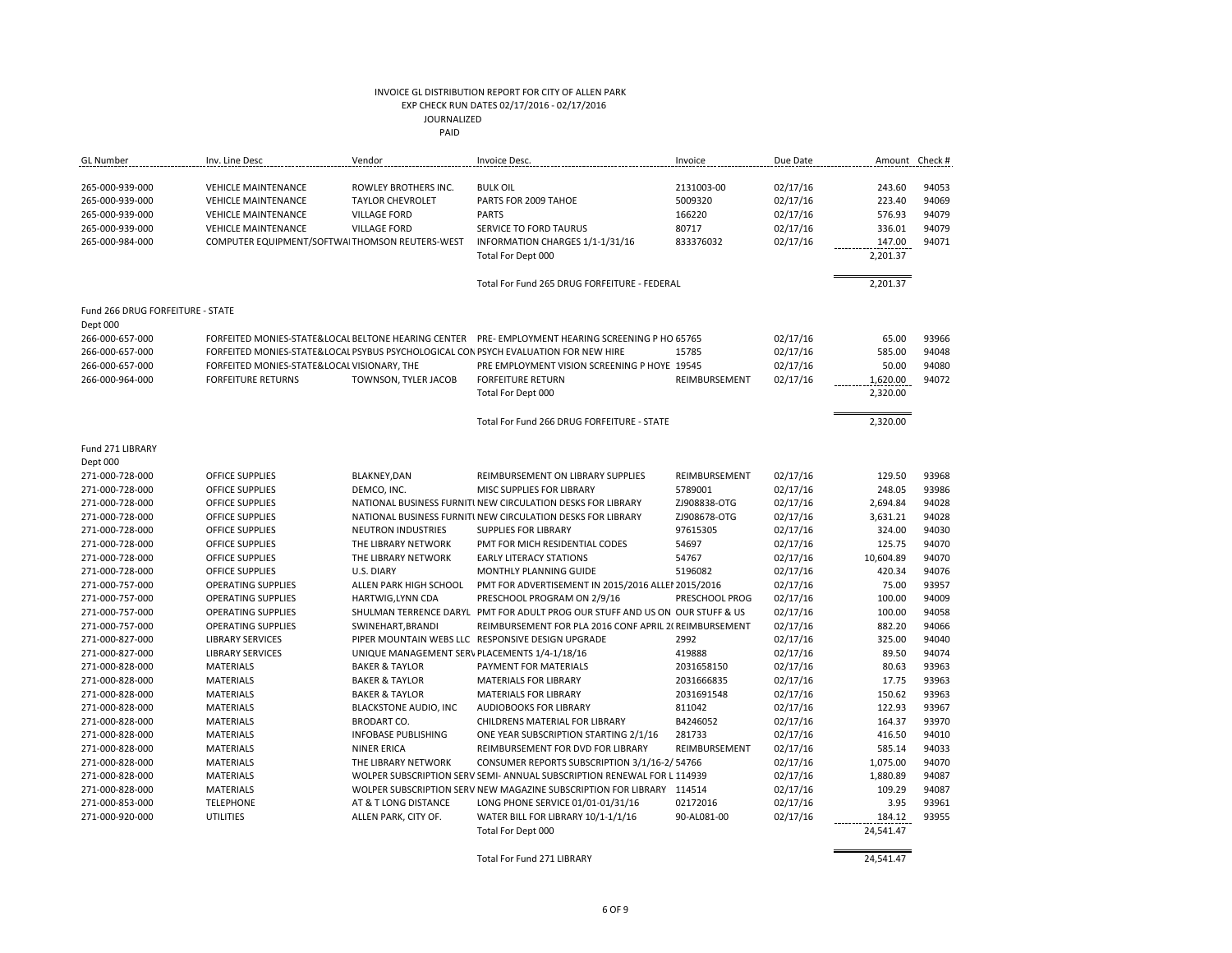| <b>GL</b> Number                   | Inv. Line Desc                                           | Vendor                                          | Invoice Desc.                                                                                   | Invoice               | Due Date             |                  | Amount Check # |
|------------------------------------|----------------------------------------------------------|-------------------------------------------------|-------------------------------------------------------------------------------------------------|-----------------------|----------------------|------------------|----------------|
| 265-000-939-000<br>265-000-939-000 | <b>VEHICLE MAINTENANCE</b><br><b>VEHICLE MAINTENANCE</b> | ROWLEY BROTHERS INC.<br><b>TAYLOR CHEVROLET</b> | <b>BULK OIL</b><br>PARTS FOR 2009 TAHOE                                                         | 2131003-00<br>5009320 | 02/17/16<br>02/17/16 | 243.60<br>223.40 | 94053<br>94069 |
| 265-000-939-000<br>265-000-939-000 | <b>VEHICLE MAINTENANCE</b><br><b>VEHICLE MAINTENANCE</b> | <b>VILLAGE FORD</b><br><b>VILLAGE FORD</b>      | <b>PARTS</b><br>SERVICE TO FORD TAURUS                                                          | 166220<br>80717       | 02/17/16<br>02/17/16 | 576.93<br>336.01 | 94079<br>94079 |
| 265-000-984-000                    | COMPUTER EQUIPMENT/SOFTWA THOMSON REUTERS-WEST           |                                                 | INFORMATION CHARGES 1/1-1/31/16                                                                 | 833376032             | 02/17/16             | 147.00           | 94071          |
|                                    |                                                          |                                                 | Total For Dept 000                                                                              |                       |                      | 2,201.37         |                |
|                                    |                                                          |                                                 | Total For Fund 265 DRUG FORFEITURE - FEDERAL                                                    |                       |                      | 2,201.37         |                |
| Fund 266 DRUG FORFEITURE - STATE   |                                                          |                                                 |                                                                                                 |                       |                      |                  |                |
| Dept 000                           |                                                          |                                                 |                                                                                                 |                       |                      |                  |                |
| 266-000-657-000                    |                                                          |                                                 | FORFEITED MONIES-STATE&LOCAL BELTONE HEARING CENTER PRE-EMPLOYMENT HEARING SCREENING P HO 65765 |                       | 02/17/16             | 65.00            | 93966          |
| 266-000-657-000                    |                                                          |                                                 | FORFEITED MONIES-STATE&LOCAL PSYBUS PSYCHOLOGICAL CON PSYCH EVALUATION FOR NEW HIRE             | 15785                 | 02/17/16             | 585.00           | 94048          |
| 266-000-657-000                    | FORFEITED MONIES-STATE&LOCAL VISIONARY, THE              |                                                 | PRE EMPLOYMENT VISION SCREENING P HOYE 19545                                                    |                       | 02/17/16             | 50.00            | 94080          |
| 266-000-964-000                    | <b>FORFEITURE RETURNS</b>                                | TOWNSON, TYLER JACOB                            | <b>FORFEITURE RETURN</b>                                                                        | REIMBURSEMENT         | 02/17/16             | 1,620.00         | 94072          |
|                                    |                                                          |                                                 | Total For Dept 000                                                                              |                       |                      | 2,320.00         |                |
|                                    |                                                          |                                                 | Total For Fund 266 DRUG FORFEITURE - STATE                                                      |                       |                      | 2,320.00         |                |
| Fund 271 LIBRARY                   |                                                          |                                                 |                                                                                                 |                       |                      |                  |                |
| Dept 000                           |                                                          |                                                 |                                                                                                 |                       |                      |                  |                |
| 271-000-728-000                    | OFFICE SUPPLIES                                          | <b>BLAKNEY, DAN</b>                             | REIMBURSEMENT ON LIBRARY SUPPLIES                                                               | REIMBURSEMENT         | 02/17/16             | 129.50           | 93968          |
| 271-000-728-000                    | OFFICE SUPPLIES                                          | DEMCO, INC.                                     | MISC SUPPLIES FOR LIBRARY                                                                       | 5789001               | 02/17/16             | 248.05           | 93986          |
| 271-000-728-000                    | OFFICE SUPPLIES                                          |                                                 | NATIONAL BUSINESS FURNITI NEW CIRCULATION DESKS FOR LIBRARY                                     | ZJ908838-OTG          | 02/17/16             | 2,694.84         | 94028          |
| 271-000-728-000                    | <b>OFFICE SUPPLIES</b>                                   |                                                 | NATIONAL BUSINESS FURNITI NEW CIRCULATION DESKS FOR LIBRARY                                     | ZJ908678-OTG          | 02/17/16             | 3,631.21         | 94028          |
| 271-000-728-000                    | <b>OFFICE SUPPLIES</b>                                   | <b>NEUTRON INDUSTRIES</b>                       | SUPPLIES FOR LIBRARY                                                                            | 97615305              | 02/17/16             | 324.00           | 94030          |
| 271-000-728-000                    | <b>OFFICE SUPPLIES</b>                                   | THE LIBRARY NETWORK                             | PMT FOR MICH RESIDENTIAL CODES                                                                  | 54697                 | 02/17/16             | 125.75           | 94070          |
| 271-000-728-000                    | <b>OFFICE SUPPLIES</b>                                   | THE LIBRARY NETWORK                             | <b>EARLY LITERACY STATIONS</b>                                                                  | 54767                 | 02/17/16             | 10,604.89        | 94070          |
| 271-000-728-000                    | OFFICE SUPPLIES                                          | U.S. DIARY                                      | MONTHLY PLANNING GUIDE                                                                          | 5196082               | 02/17/16             | 420.34           | 94076          |
| 271-000-757-000                    | <b>OPERATING SUPPLIES</b>                                | ALLEN PARK HIGH SCHOOL                          | PMT FOR ADVERTISEMENT IN 2015/2016 ALLEI 2015/2016                                              |                       | 02/17/16             | 75.00            | 93957          |
| 271-000-757-000                    | <b>OPERATING SUPPLIES</b>                                | <b>HARTWIG, LYNN CDA</b>                        | PRESCHOOL PROGRAM ON 2/9/16                                                                     | PRESCHOOL PROG        | 02/17/16             | 100.00           | 94009          |
| 271-000-757-000                    | <b>OPERATING SUPPLIES</b>                                |                                                 | SHULMAN TERRENCE DARYL PMT FOR ADULT PROG OUR STUFF AND US ON OUR STUFF & US                    |                       | 02/17/16             | 100.00           | 94058          |
| 271-000-757-000                    | <b>OPERATING SUPPLIES</b>                                | SWINEHART, BRANDI                               | REIMBURSEMENT FOR PLA 2016 CONF APRIL 2( REIMBURSEMENT                                          |                       | 02/17/16             | 882.20           | 94066          |
| 271-000-827-000                    | <b>LIBRARY SERVICES</b>                                  |                                                 | PIPER MOUNTAIN WEBS LLC RESPONSIVE DESIGN UPGRADE                                               | 2992                  | 02/17/16             | 325.00           | 94040          |
| 271-000-827-000                    | <b>LIBRARY SERVICES</b>                                  | UNIQUE MANAGEMENT SER\ PLACEMENTS 1/4-1/18/16   |                                                                                                 | 419888                | 02/17/16             | 89.50            | 94074          |
| 271-000-828-000                    | <b>MATERIALS</b>                                         | <b>BAKER &amp; TAYLOR</b>                       | PAYMENT FOR MATERIALS                                                                           | 2031658150            | 02/17/16             | 80.63            | 93963          |
| 271-000-828-000                    | <b>MATERIALS</b>                                         | <b>BAKER &amp; TAYLOR</b>                       | <b>MATERIALS FOR LIBRARY</b>                                                                    | 2031666835            | 02/17/16             | 17.75            | 93963          |
| 271-000-828-000                    | <b>MATERIALS</b>                                         | <b>BAKER &amp; TAYLOR</b>                       | <b>MATERIALS FOR LIBRARY</b>                                                                    | 2031691548            | 02/17/16             | 150.62           | 93963          |
| 271-000-828-000                    | <b>MATERIALS</b>                                         | <b>BLACKSTONE AUDIO, INC</b>                    | AUDIOBOOKS FOR LIBRARY                                                                          | 811042                | 02/17/16             | 122.93           | 93967          |
| 271-000-828-000                    | <b>MATERIALS</b>                                         | <b>BRODART CO.</b>                              | CHILDRENS MATERIAL FOR LIBRARY                                                                  | B4246052              | 02/17/16             | 164.37           | 93970          |
| 271-000-828-000                    | <b>MATERIALS</b>                                         | <b>INFOBASE PUBLISHING</b>                      | ONE YEAR SUBSCRIPTION STARTING 2/1/16                                                           | 281733                | 02/17/16             | 416.50           | 94010          |
| 271-000-828-000                    | <b>MATERIALS</b>                                         | <b>NINER ERICA</b>                              | REIMBURSEMENT FOR DVD FOR LIBRARY                                                               | REIMBURSEMENT         | 02/17/16             | 585.14           | 94033          |
| 271-000-828-000                    | <b>MATERIALS</b>                                         | THE LIBRARY NETWORK                             | CONSUMER REPORTS SUBSCRIPTION 3/1/16-2/ 54766                                                   |                       | 02/17/16             | 1,075.00         | 94070          |
| 271-000-828-000                    | <b>MATERIALS</b>                                         |                                                 | WOLPER SUBSCRIPTION SERV SEMI-ANNUAL SUBSCRIPTION RENEWAL FOR L 114939                          |                       | 02/17/16             | 1,880.89         | 94087          |
| 271-000-828-000                    | <b>MATERIALS</b>                                         |                                                 | WOLPER SUBSCRIPTION SERV NEW MAGAZINE SUBSCRIPTION FOR LIBRARY 114514                           |                       | 02/17/16             | 109.29           | 94087          |
| 271-000-853-000                    | <b>TELEPHONE</b>                                         | AT & T LONG DISTANCE                            | LONG PHONE SERVICE 01/01-01/31/16                                                               | 02172016              | 02/17/16             | 3.95             | 93961          |
| 271-000-920-000                    | <b>UTILITIES</b>                                         | ALLEN PARK, CITY OF.                            | WATER BILL FOR LIBRARY 10/1-1/1/16                                                              | 90-AL081-00           | 02/17/16             | 184.12           | 93955          |
|                                    |                                                          |                                                 | Total For Dept 000                                                                              |                       |                      | 24,541.47        |                |

Total For Fund 271 LIBRARY 24,541.47

 $\equiv$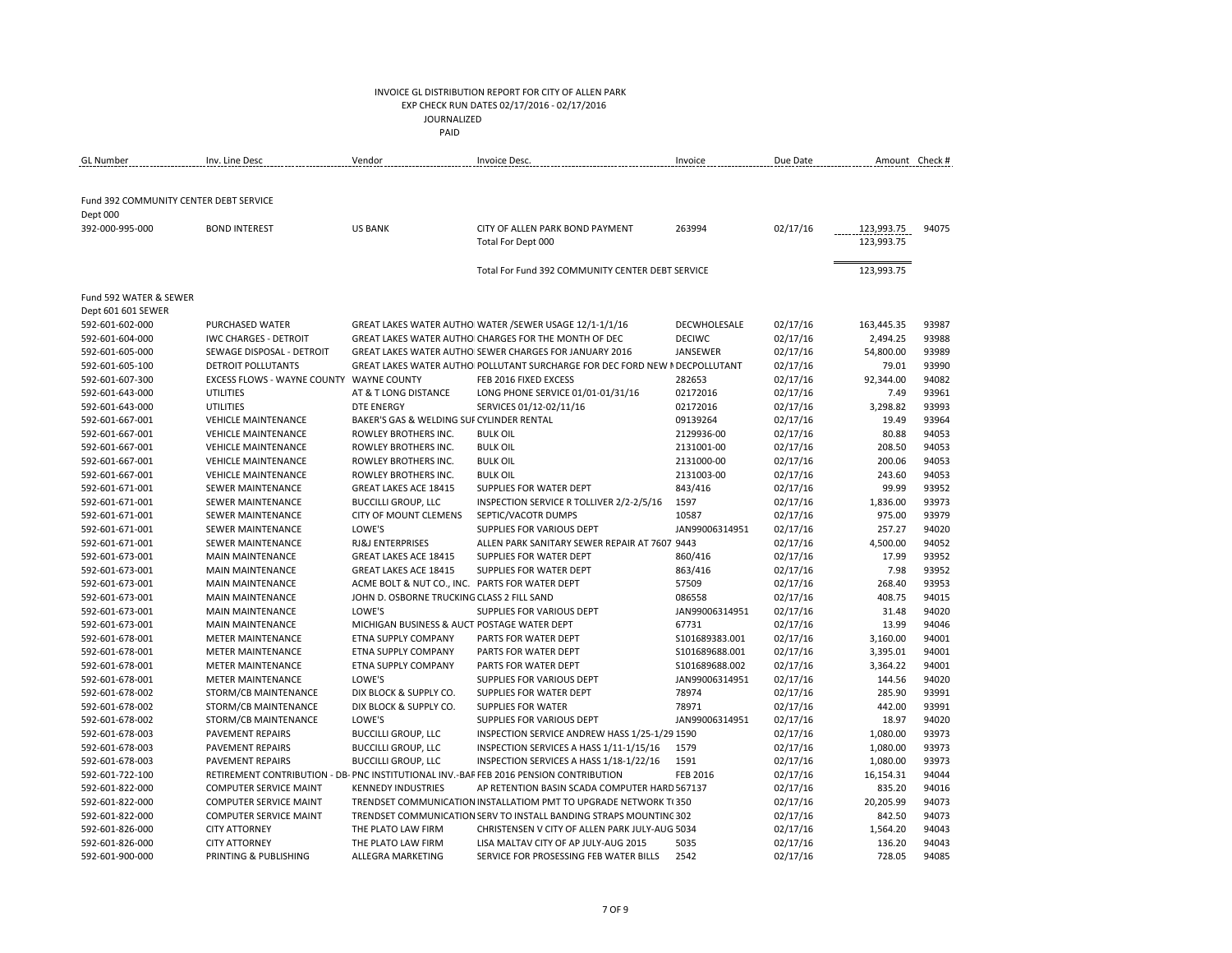### INVOICE GL DISTRIBUTION REPORT FOR CITY OF ALLEN PARK EXP CHECK RUN DATES 02/17/2016 - 02/17/2016

JOURNALIZED

| ------------<br>$\begin{array}{ccc} \multicolumn{3}{c}{} & \multicolumn{3}{c}{} & \multicolumn{3}{c}{} & \multicolumn{3}{c}{} & \multicolumn{3}{c}{} & \multicolumn{3}{c}{} & \multicolumn{3}{c}{} & \multicolumn{3}{c}{} & \multicolumn{3}{c}{} & \multicolumn{3}{c}{} & \multicolumn{3}{c}{} & \multicolumn{3}{c}{} & \multicolumn{3}{c}{} & \multicolumn{3}{c}{} & \multicolumn{3}{c}{} & \multicolumn{3}{c}{} & \multicolumn{3}{c}{} & \multicolumn{3}{c}{} & \multicolumn{3}{c}{} & \multicolumn$ |
|--------------------------------------------------------------------------------------------------------------------------------------------------------------------------------------------------------------------------------------------------------------------------------------------------------------------------------------------------------------------------------------------------------------------------------------------------------------------------------------------------------|
| PAID                                                                                                                                                                                                                                                                                                                                                                                                                                                                                                   |
|                                                                                                                                                                                                                                                                                                                                                                                                                                                                                                        |

| GL Number                              | Inv. Line Desc                                  | Vendor                                                   | Invoice Desc.                                                                          | Invoice         | Due Date |                      | Amount Check # |
|----------------------------------------|-------------------------------------------------|----------------------------------------------------------|----------------------------------------------------------------------------------------|-----------------|----------|----------------------|----------------|
|                                        |                                                 |                                                          |                                                                                        |                 |          |                      |                |
| Fund 392 COMMUNITY CENTER DEBT SERVICE |                                                 |                                                          |                                                                                        |                 |          |                      |                |
| Dept 000                               |                                                 |                                                          |                                                                                        |                 |          |                      |                |
| 392-000-995-000                        | <b>BOND INTEREST</b>                            | <b>US BANK</b>                                           | CITY OF ALLEN PARK BOND PAYMENT                                                        | 263994          | 02/17/16 | 123,993.75           | 94075          |
|                                        |                                                 |                                                          | Total For Dept 000                                                                     |                 |          | 123,993.75           |                |
|                                        |                                                 |                                                          |                                                                                        |                 |          |                      |                |
|                                        |                                                 |                                                          | Total For Fund 392 COMMUNITY CENTER DEBT SERVICE                                       |                 |          | 123,993.75           |                |
|                                        |                                                 |                                                          |                                                                                        |                 |          |                      |                |
| Fund 592 WATER & SEWER                 |                                                 |                                                          |                                                                                        |                 |          |                      |                |
| Dept 601 601 SEWER                     |                                                 |                                                          |                                                                                        |                 |          |                      |                |
| 592-601-602-000                        | PURCHASED WATER                                 |                                                          | GREAT LAKES WATER AUTHO WATER / SEWER USAGE 12/1-1/1/16                                | DECWHOLESALE    | 02/17/16 | 163,445.35           | 93987          |
| 592-601-604-000                        | <b>IWC CHARGES - DETROIT</b>                    |                                                          | GREAT LAKES WATER AUTHO CHARGES FOR THE MONTH OF DEC                                   | <b>DECIWC</b>   | 02/17/16 | 2,494.25             | 93988          |
| 592-601-605-000                        | SEWAGE DISPOSAL - DETROIT                       |                                                          | GREAT LAKES WATER AUTHO SEWER CHARGES FOR JANUARY 2016                                 | JANSEWER        | 02/17/16 | 54,800.00            | 93989          |
| 592-601-605-100                        | <b>DETROIT POLLUTANTS</b>                       |                                                          | GREAT LAKES WATER AUTHO POLLUTANT SURCHARGE FOR DEC FORD NEW I DECPOLLUTANT            |                 | 02/17/16 | 79.01                | 93990          |
| 592-601-607-300                        | EXCESS FLOWS - WAYNE COUNTY WAYNE COUNTY        |                                                          | FEB 2016 FIXED EXCESS                                                                  | 282653          | 02/17/16 | 92,344.00            | 94082          |
| 592-601-643-000                        | <b>UTILITIES</b>                                | AT & T LONG DISTANCE                                     | LONG PHONE SERVICE 01/01-01/31/16                                                      | 02172016        | 02/17/16 | 7.49                 | 93961          |
| 592-601-643-000                        | UTILITIES                                       | <b>DTE ENERGY</b>                                        | SERVICES 01/12-02/11/16                                                                | 02172016        | 02/17/16 | 3,298.82             | 93993          |
| 592-601-667-001                        | <b>VEHICLE MAINTENANCE</b>                      | BAKER'S GAS & WELDING SUF CYLINDER RENTAL                |                                                                                        | 09139264        | 02/17/16 | 19.49                | 93964          |
| 592-601-667-001                        | <b>VEHICLE MAINTENANCE</b>                      | ROWLEY BROTHERS INC.                                     | <b>BULK OIL</b>                                                                        | 2129936-00      | 02/17/16 | 80.88                | 94053          |
| 592-601-667-001                        | <b>VEHICLE MAINTENANCE</b>                      | ROWLEY BROTHERS INC.                                     | <b>BULK OIL</b>                                                                        | 2131001-00      | 02/17/16 | 208.50               | 94053          |
| 592-601-667-001                        | <b>VEHICLE MAINTENANCE</b>                      | ROWLEY BROTHERS INC.                                     | <b>BULK OIL</b>                                                                        | 2131000-00      | 02/17/16 | 200.06               | 94053          |
| 592-601-667-001                        | <b>VEHICLE MAINTENANCE</b>                      | ROWLEY BROTHERS INC.                                     | <b>BULK OIL</b>                                                                        | 2131003-00      | 02/17/16 | 243.60               | 94053          |
| 592-601-671-001                        | <b>SEWER MAINTENANCE</b>                        | <b>GREAT LAKES ACE 18415</b>                             | SUPPLIES FOR WATER DEPT                                                                | 843/416         | 02/17/16 | 99.99                | 93952          |
| 592-601-671-001                        | SEWER MAINTENANCE                               | <b>BUCCILLI GROUP, LLC</b>                               | INSPECTION SERVICE R TOLLIVER 2/2-2/5/16                                               | 1597            | 02/17/16 | 1,836.00             | 93973          |
| 592-601-671-001                        | <b>SEWER MAINTENANCE</b>                        | <b>CITY OF MOUNT CLEMENS</b>                             | SEPTIC/VACOTR DUMPS                                                                    | 10587           | 02/17/16 | 975.00               | 93979          |
| 592-601-671-001                        | <b>SEWER MAINTENANCE</b>                        | LOWE'S                                                   | SUPPLIES FOR VARIOUS DEPT                                                              | JAN99006314951  | 02/17/16 | 257.27               | 94020          |
| 592-601-671-001                        | SEWER MAINTENANCE                               | <b>RJ&amp;J ENTERPRISES</b>                              | ALLEN PARK SANITARY SEWER REPAIR AT 7607 9443                                          |                 | 02/17/16 | 4,500.00             | 94052          |
| 592-601-673-001                        | <b>MAIN MAINTENANCE</b>                         | GREAT LAKES ACE 18415                                    | SUPPLIES FOR WATER DEPT                                                                | 860/416         | 02/17/16 | 17.99                | 93952          |
| 592-601-673-001                        | <b>MAIN MAINTENANCE</b>                         | GREAT LAKES ACE 18415                                    | SUPPLIES FOR WATER DEPT                                                                | 863/416         | 02/17/16 | 7.98                 | 93952          |
| 592-601-673-001                        | <b>MAIN MAINTENANCE</b>                         | ACME BOLT & NUT CO., INC. PARTS FOR WATER DEPT           |                                                                                        | 57509           | 02/17/16 | 268.40               | 93953          |
| 592-601-673-001                        | <b>MAIN MAINTENANCE</b>                         | JOHN D. OSBORNE TRUCKING CLASS 2 FILL SAND               |                                                                                        | 086558          | 02/17/16 | 408.75               | 94015          |
| 592-601-673-001                        | <b>MAIN MAINTENANCE</b>                         | LOWE'S                                                   | SUPPLIES FOR VARIOUS DEPT                                                              | JAN99006314951  | 02/17/16 | 31.48                | 94020          |
| 592-601-673-001                        | <b>MAIN MAINTENANCE</b>                         | MICHIGAN BUSINESS & AUCT POSTAGE WATER DEPT              |                                                                                        | 67731           | 02/17/16 | 13.99                | 94046          |
| 592-601-678-001                        | <b>METER MAINTENANCE</b>                        | ETNA SUPPLY COMPANY                                      | PARTS FOR WATER DEPT                                                                   | S101689383.001  | 02/17/16 | 3,160.00             | 94001          |
| 592-601-678-001                        | <b>METER MAINTENANCE</b>                        | ETNA SUPPLY COMPANY                                      | PARTS FOR WATER DEPT                                                                   | \$101689688.001 | 02/17/16 | 3,395.01             | 94001          |
| 592-601-678-001                        | <b>METER MAINTENANCE</b>                        | ETNA SUPPLY COMPANY                                      | PARTS FOR WATER DEPT                                                                   | \$101689688.002 | 02/17/16 | 3,364.22             | 94001          |
| 592-601-678-001                        | <b>METER MAINTENANCE</b>                        | LOWE'S                                                   | SUPPLIES FOR VARIOUS DEPT                                                              | JAN99006314951  | 02/17/16 | 144.56               | 94020          |
| 592-601-678-002                        | STORM/CB MAINTENANCE                            | DIX BLOCK & SUPPLY CO.                                   | SUPPLIES FOR WATER DEPT                                                                | 78974           | 02/17/16 | 285.90               | 93991          |
| 592-601-678-002                        | STORM/CB MAINTENANCE                            | DIX BLOCK & SUPPLY CO.                                   | <b>SUPPLIES FOR WATER</b>                                                              | 78971           | 02/17/16 | 442.00               | 93991          |
| 592-601-678-002                        |                                                 | LOWE'S                                                   | SUPPLIES FOR VARIOUS DEPT                                                              | JAN99006314951  | 02/17/16 | 18.97                | 94020          |
| 592-601-678-003                        | STORM/CB MAINTENANCE<br><b>PAVEMENT REPAIRS</b> |                                                          | INSPECTION SERVICE ANDREW HASS 1/25-1/29 1590                                          |                 | 02/17/16 |                      | 93973          |
|                                        |                                                 | <b>BUCCILLI GROUP, LLC</b>                               |                                                                                        |                 |          | 1,080.00             | 93973          |
| 592-601-678-003                        | <b>PAVEMENT REPAIRS</b>                         | <b>BUCCILLI GROUP, LLC</b><br><b>BUCCILLI GROUP, LLC</b> | INSPECTION SERVICES A HASS 1/11-1/15/16<br>INSPECTION SERVICES A HASS 1/18-1/22/16     | 1579<br>1591    | 02/17/16 | 1,080.00<br>1,080.00 | 93973          |
| 592-601-678-003                        | PAVEMENT REPAIRS                                |                                                          | RETIREMENT CONTRIBUTION - DB- PNC INSTITUTIONAL INV.-BAF FEB 2016 PENSION CONTRIBUTION |                 | 02/17/16 |                      | 94044          |
| 592-601-722-100                        |                                                 |                                                          |                                                                                        | <b>FEB 2016</b> | 02/17/16 | 16,154.31            |                |
| 592-601-822-000                        | <b>COMPUTER SERVICE MAINT</b>                   | <b>KENNEDY INDUSTRIES</b>                                | AP RETENTION BASIN SCADA COMPUTER HARD 567137                                          |                 | 02/17/16 | 835.20               | 94016          |
| 592-601-822-000                        | <b>COMPUTER SERVICE MAINT</b>                   |                                                          | TRENDSET COMMUNICATION INSTALLATIOM PMT TO UPGRADE NETWORK T(350                       |                 | 02/17/16 | 20,205.99            | 94073          |
| 592-601-822-000                        | <b>COMPUTER SERVICE MAINT</b>                   |                                                          | TRENDSET COMMUNICATION SERV TO INSTALL BANDING STRAPS MOUNTING 302                     |                 | 02/17/16 | 842.50               | 94073          |
| 592-601-826-000                        | <b>CITY ATTORNEY</b>                            | THE PLATO LAW FIRM                                       | CHRISTENSEN V CITY OF ALLEN PARK JULY-AUG 5034                                         |                 | 02/17/16 | 1,564.20             | 94043          |
| 592-601-826-000                        | <b>CITY ATTORNEY</b>                            | THE PLATO LAW FIRM                                       | LISA MALTAV CITY OF AP JULY-AUG 2015                                                   | 5035<br>2542    | 02/17/16 | 136.20<br>728.05     | 94043<br>94085 |
| 592-601-900-000                        | PRINTING & PUBLISHING                           | ALLEGRA MARKETING                                        | SERVICE FOR PROSESSING FEB WATER BILLS                                                 |                 | 02/17/16 |                      |                |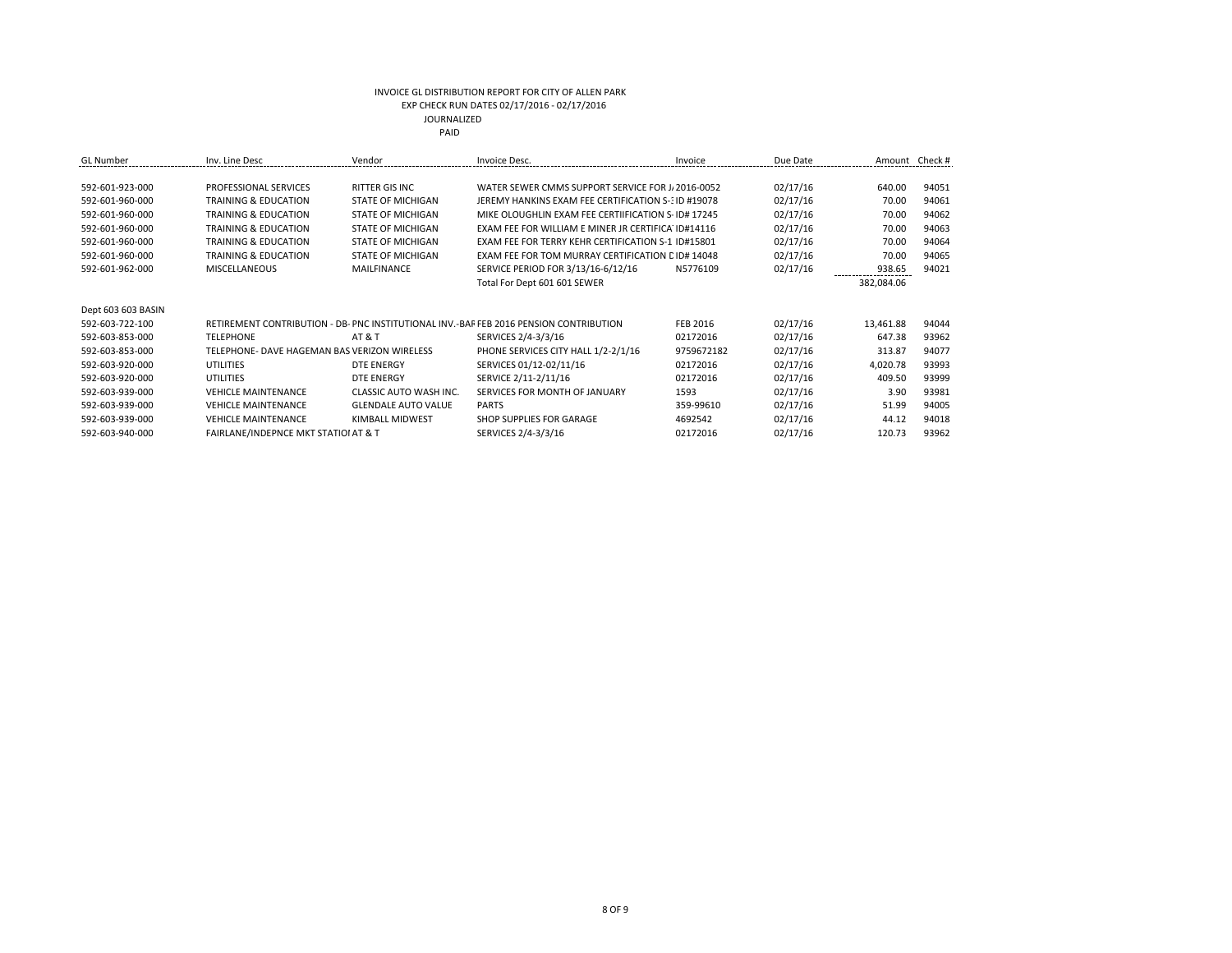| <b>GL</b> Number   | Inv. Line Desc                               | Vendor                     | Invoice Desc.                                                                         | Invoice    | Due Date | Amount     | Check # |
|--------------------|----------------------------------------------|----------------------------|---------------------------------------------------------------------------------------|------------|----------|------------|---------|
|                    |                                              |                            |                                                                                       |            |          |            |         |
| 592-601-923-000    | PROFESSIONAL SERVICES                        | RITTER GIS INC             | WATER SEWER CMMS SUPPORT SERVICE FOR J 2016-0052                                      |            | 02/17/16 | 640.00     | 94051   |
| 592-601-960-000    | <b>TRAINING &amp; EDUCATION</b>              | <b>STATE OF MICHIGAN</b>   | JEREMY HANKINS EXAM FEE CERTIFICATION S-3ID #19078                                    |            | 02/17/16 | 70.00      | 94061   |
| 592-601-960-000    | <b>TRAINING &amp; EDUCATION</b>              | <b>STATE OF MICHIGAN</b>   | MIKE OLOUGHLIN EXAM FEE CERTIFICATION S-ID# 17245                                     |            | 02/17/16 | 70.00      | 94062   |
| 592-601-960-000    | <b>TRAINING &amp; EDUCATION</b>              | <b>STATE OF MICHIGAN</b>   | EXAM FEE FOR WILLIAM E MINER JR CERTIFICA ID#14116                                    |            | 02/17/16 | 70.00      | 94063   |
| 592-601-960-000    | <b>TRAINING &amp; EDUCATION</b>              | <b>STATE OF MICHIGAN</b>   | EXAM FEE FOR TERRY KEHR CERTIFICATION S-1 ID#15801                                    |            | 02/17/16 | 70.00      | 94064   |
| 592-601-960-000    | <b>TRAINING &amp; EDUCATION</b>              | <b>STATE OF MICHIGAN</b>   | EXAM FEE FOR TOM MURRAY CERTIFICATION C ID# 14048                                     |            | 02/17/16 | 70.00      | 94065   |
| 592-601-962-000    | <b>MISCELLANEOUS</b>                         | MAILFINANCE                | SERVICE PERIOD FOR 3/13/16-6/12/16                                                    | N5776109   | 02/17/16 | 938.65     | 94021   |
|                    |                                              |                            | Total For Dept 601 601 SEWER                                                          |            |          | 382,084.06 |         |
|                    |                                              |                            |                                                                                       |            |          |            |         |
| Dept 603 603 BASIN |                                              |                            |                                                                                       |            |          |            |         |
| 592-603-722-100    |                                              |                            | RETIREMENT CONTRIBUTION - DB-PNC INSTITUTIONAL INV.-BAF FEB 2016 PENSION CONTRIBUTION | FEB 2016   | 02/17/16 | 13,461.88  | 94044   |
| 592-603-853-000    | <b>TELEPHONE</b>                             | <b>AT &amp; T</b>          | SERVICES 2/4-3/3/16                                                                   | 02172016   | 02/17/16 | 647.38     | 93962   |
| 592-603-853-000    | TELEPHONE- DAVE HAGEMAN BAS VERIZON WIRELESS |                            | PHONE SERVICES CITY HALL 1/2-2/1/16                                                   | 9759672182 | 02/17/16 | 313.87     | 94077   |
| 592-603-920-000    | UTILITIES                                    | DTE ENERGY                 | SERVICES 01/12-02/11/16                                                               | 02172016   | 02/17/16 | 4,020.78   | 93993   |
| 592-603-920-000    | <b>UTILITIES</b>                             | <b>DTE ENERGY</b>          | SERVICE 2/11-2/11/16                                                                  | 02172016   | 02/17/16 | 409.50     | 93999   |
| 592-603-939-000    | <b>VEHICLE MAINTENANCE</b>                   | CLASSIC AUTO WASH INC.     | SERVICES FOR MONTH OF JANUARY                                                         | 1593       | 02/17/16 | 3.90       | 93981   |
| 592-603-939-000    | <b>VEHICLE MAINTENANCE</b>                   | <b>GLENDALE AUTO VALUE</b> | <b>PARTS</b>                                                                          | 359-99610  | 02/17/16 | 51.99      | 94005   |
| 592-603-939-000    | <b>VEHICLE MAINTENANCE</b>                   | KIMBALL MIDWEST            | SHOP SUPPLIES FOR GARAGE                                                              | 4692542    | 02/17/16 | 44.12      | 94018   |
| 592-603-940-000    | FAIRLANE/INDEPNCE MKT STATIOI AT & T         |                            | SERVICES 2/4-3/3/16                                                                   | 02172016   | 02/17/16 | 120.73     | 93962   |